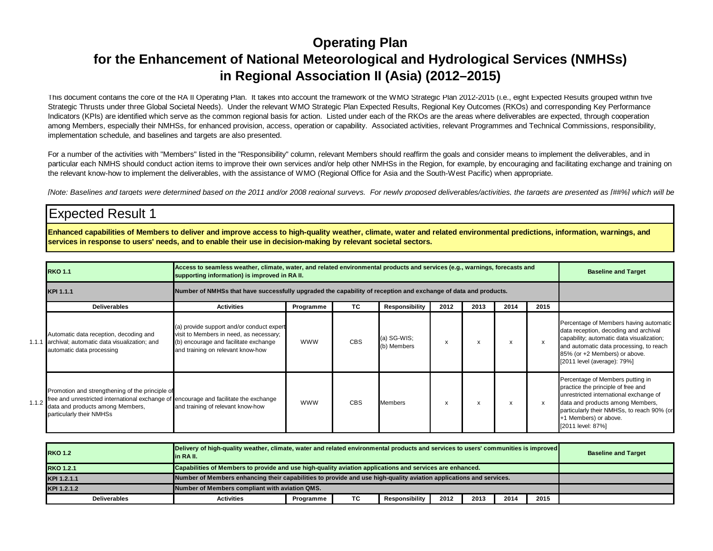#### **Operating Plan for the Enhancement of National Meteorological and Hydrological Services (NMHSs)in Regional Association II (Asia) (2012–2015)**

This document contains the core of the RA II Operating Plan. It takes into account the framework of the WMO Strategic Plan 2012-2015 (i.e., eight Expected Results grouped within five Strategic Thrusts under three Global Societal Needs). Under the relevant WMO Strategic Plan Expected Results, Regional Key Outcomes (RKOs) and corresponding Key Performance Indicators (KPIs) are identified which serve as the common regional basis for action. Listed under each of the RKOs are the areas where deliverables are expected, through cooperation among Members, especially their NMHSs, for enhanced provision, access, operation or capability. Associated activities, relevant Programmes and Technical Commissions, responsibility, implementation schedule, and baselines and targets are also presented.

For a number of the activities with "Members" listed in the "Responsibility" column, relevant Members should reaffirm the goals and consider means to implement the deliverables, and in particular each NMHS should conduct action items to improve their own services and/or help other NMHSs in the Region, for example, by encouraging and facilitating exchange and training on the relevant know-how to implement the deliverables, with the assistance of WMO (Regional Office for Asia and the South-West Pacific) when appropriate.

[Note: Baselines and targets were determined based on the 2011 and/or 2008 regional surveys. For newly proposed deliverables/activities, the targets are presented as [##%] which will be

#### Expected Result 1

**Enhanced capabilities of Members to deliver and improve access to high-quality weather, climate, water and related environmental predictions, information, warnings, and services in response to users' needs, and to enable their use in decision-making by relevant societal sectors.**

|       | <b>RKO 1.1</b>                                                                                                                                                                                           | Access to seamless weather, climate, water, and related environmental products and services (e.g., warnings, forecasts and<br>supporting information) is improved in RA II. | <b>Baseline and Target</b> |            |                              |      |      |                           |                           |                                                                                                                                                                                                                                                  |
|-------|----------------------------------------------------------------------------------------------------------------------------------------------------------------------------------------------------------|-----------------------------------------------------------------------------------------------------------------------------------------------------------------------------|----------------------------|------------|------------------------------|------|------|---------------------------|---------------------------|--------------------------------------------------------------------------------------------------------------------------------------------------------------------------------------------------------------------------------------------------|
|       | KPI 1.1.1                                                                                                                                                                                                | Number of NMHSs that have successfully upgraded the capability of reception and exchange of data and products.                                                              |                            |            |                              |      |      |                           |                           |                                                                                                                                                                                                                                                  |
|       | <b>Deliverables</b>                                                                                                                                                                                      | <b>Activities</b>                                                                                                                                                           | Programme                  | TC         | <b>Responsibility</b>        | 2012 | 2013 | 2014                      | 2015                      |                                                                                                                                                                                                                                                  |
|       | Automatic data reception, decoding and<br>1.1.1 archival; automatic data visualization; and<br>automatic data processing                                                                                 | (a) provide support and/or conduct expert<br>visit to Members in need, as necessary;<br>(b) encourage and facilitate exchange<br>and training on relevant know-how          | <b>WWW</b>                 | <b>CBS</b> | $(a) SG-WIS;$<br>(b) Members | x    | x    | $\boldsymbol{\mathsf{x}}$ | $\boldsymbol{\mathsf{x}}$ | Percentage of Members having automatic<br>data reception, decoding and archival<br>capability; automatic data visualization;<br>and automatic data processing, to reach<br>85% (or +2 Members) or above.<br>[2011 level (average): 79%]          |
| 1.1.2 | Promotion and strengthening of the principle of<br>free and unrestricted international exchange of encourage and facilitate the exchange<br>data and products among Members,<br>particularly their NMHSs | and training of relevant know-how                                                                                                                                           | <b>WWW</b>                 | <b>CBS</b> | Members                      | x    | x    | $\boldsymbol{\mathsf{x}}$ | X                         | Percentage of Members putting in<br>practice the principle of free and<br>unrestricted international exchange of<br>data and products among Members,<br>particularly their NMHSs, to reach 90% (or<br>+1 Members) or above.<br>[2011 level: 87%] |

| <b>RKO 1.2</b>      | Delivery of high-quality weather, climate, water and related environmental products and services to users' communities is improved<br>lin RA II. | <b>Baseline and Target</b>                     |  |  |  |  |  |  |  |  |
|---------------------|--------------------------------------------------------------------------------------------------------------------------------------------------|------------------------------------------------|--|--|--|--|--|--|--|--|
| <b>RKO 1.2.1</b>    | Capabilities of Members to provide and use high-quality aviation applications and services are enhanced.                                         |                                                |  |  |  |  |  |  |  |  |
| KPI 1.2.1.1         | Number of Members enhancing their capabilities to provide and use high-quality aviation applications and services.                               |                                                |  |  |  |  |  |  |  |  |
| KPI 1.2.1.2         |                                                                                                                                                  | Number of Members compliant with aviation QMS. |  |  |  |  |  |  |  |  |
| <b>Deliverables</b> | <b>Activities</b>                                                                                                                                |                                                |  |  |  |  |  |  |  |  |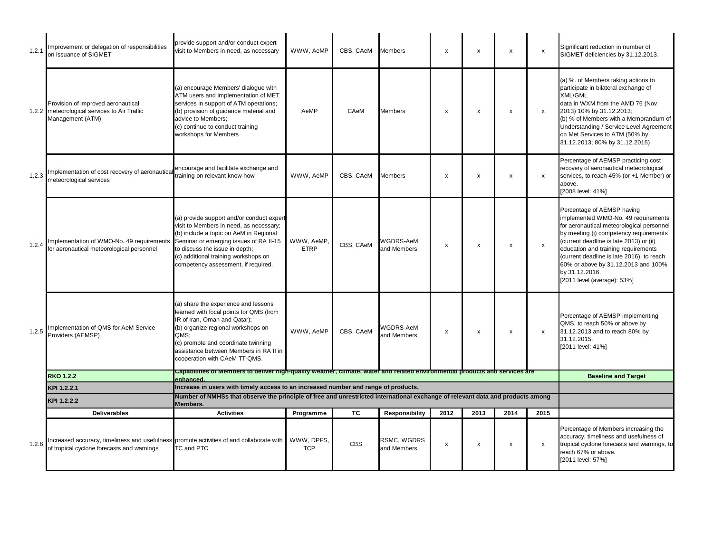| 1.2.  | Improvement or delegation of responsibilities<br>on issuance of SIGMET                                                                 | provide support and/or conduct expert<br>visit to Members in need, as necessary                                                                                                                                                                                                           | WWW, AeMP                | CBS, CAeM  | <b>Members</b>                    | x    | x    | x    | $\pmb{\mathsf{x}}$ | Significant reduction in number of<br>SIGMET deficiencies by 31.12.2013.                                                                                                                                                                                                                                                                                                        |
|-------|----------------------------------------------------------------------------------------------------------------------------------------|-------------------------------------------------------------------------------------------------------------------------------------------------------------------------------------------------------------------------------------------------------------------------------------------|--------------------------|------------|-----------------------------------|------|------|------|--------------------|---------------------------------------------------------------------------------------------------------------------------------------------------------------------------------------------------------------------------------------------------------------------------------------------------------------------------------------------------------------------------------|
|       | Provision of improved aeronautical<br>1.2.2 meteorological services to Air Traffic<br>Management (ATM)                                 | (a) encourage Members' dialogue with<br>ATM users and implementation of MET<br>services in support of ATM operations;<br>(b) provision of quidance material and<br>advice to Members;<br>(c) continue to conduct training<br>workshops for Members                                        | AeMP                     | CAeM       | <b>Members</b>                    | x    | X    | X    | $\mathsf{x}$       | (a) %. of Members taking actions to<br>participate in bilateral exchange of<br><b>XML/GML</b><br>data in WXM from the AMD 76 (Nov<br>2013) 10% by 31.12.2013;<br>(b) % of Members with a Memorandum of<br>Understanding / Service Level Agreement<br>on Met Services to ATM (50% by<br>31.12.2013; 80% by 31.12.2015)                                                           |
| 1.2.3 | Implementation of cost recovery of aeronautica<br>meteorological services                                                              | encourage and facilitate exchange and<br>training on relevant know-how                                                                                                                                                                                                                    | WWW, AeMP                | CBS. CAeM  | <b>Members</b>                    | x    | x    | X    | $\mathsf{x}$       | Percentage of AEMSP practicing cost<br>recovery of aeronautical meteorological<br>services, to reach 45% (or +1 Member) or<br>above.<br>[2008 level: 41%]                                                                                                                                                                                                                       |
| 1.2.4 | Implementation of WMO-No. 49 requirements<br>for aeronautical meteorological personnel                                                 | (a) provide support and/or conduct expert<br>visit to Members in need, as necessary;<br>(b) include a topic on AeM in Regional<br>Seminar or emerging issues of RA II-15<br>to discuss the issue in depth;<br>(c) additional training workshops on<br>competency assessment, if required. | WWW, AeMP<br><b>ETRP</b> | CBS, CAeM  | WGDRS-AeM<br>and Members          | x    | x    | x    | x                  | Percentage of AEMSP having<br>implemented WMO-No. 49 requirements<br>for aeronautical meteorological personnel<br>by meeting (i) competency requirements<br>(current deadline is late 2013) or (ii)<br>education and training requirements<br>(current deadline is late 2016), to reach<br>60% or above by 31.12.2013 and 100%<br>by 31.12.2016.<br>[2011 level (average): 53%] |
| 1.2.5 | Implementation of QMS for AeM Service<br>Providers (AEMSP)                                                                             | (a) share the experience and lessons<br>learned with focal points for QMS (from<br>IR of Iran, Oman and Qatar);<br>(b) organize regional workshops on<br>QMS:<br>(c) promote and coordinate twinning<br>assistance between Members in RA II in<br>cooperation with CAeM TT-QMS.           | WWW, AeMP                | CBS, CAeM  | <b>WGDRS-AeM</b><br>and Members   | x    | x    | X    | $\mathsf{x}$       | Percentage of AEMSP implementing<br>QMS, to reach 50% or above by<br>31.12.2013 and to reach 80% by<br>31.12.2015.<br>[2011 level: 41%]                                                                                                                                                                                                                                         |
|       | <b>RKO 1.2.2</b>                                                                                                                       | Capabilities of Members to deliver high-quality weather, climate, water and related environmental products and services are<br>enhanced                                                                                                                                                   |                          |            |                                   |      |      |      |                    | <b>Baseline and Target</b>                                                                                                                                                                                                                                                                                                                                                      |
|       | KPI 1.2.2.1                                                                                                                            | Increase in users with timely access to an increased number and range of products.<br>Number of NMHSs that observe the principle of free and unrestricted international exchange of relevant data and products among                                                                      |                          |            |                                   |      |      |      |                    |                                                                                                                                                                                                                                                                                                                                                                                 |
|       | KPI 1.2.2.2                                                                                                                            | Members.                                                                                                                                                                                                                                                                                  |                          |            |                                   |      |      |      |                    |                                                                                                                                                                                                                                                                                                                                                                                 |
|       | <b>Deliverables</b>                                                                                                                    | <b>Activities</b>                                                                                                                                                                                                                                                                         | Programme                | TC         | <b>Responsibility</b>             | 2012 | 2013 | 2014 | 2015               |                                                                                                                                                                                                                                                                                                                                                                                 |
| 1.2.6 | Increased accuracy, timeliness and usefulness promote activities of and collaborate with<br>of tropical cyclone forecasts and warnings | TC and PTC                                                                                                                                                                                                                                                                                | WWW, DPFS.<br><b>TCP</b> | <b>CBS</b> | <b>RSMC, WGDRS</b><br>and Members | x    | x    | x    | $\mathsf{x}$       | Percentage of Members increasing the<br>accuracy, timeliness and usefulness of<br>tropical cyclone forecasts and warnings, to<br>reach 67% or above.<br>[2011 level: 57%]                                                                                                                                                                                                       |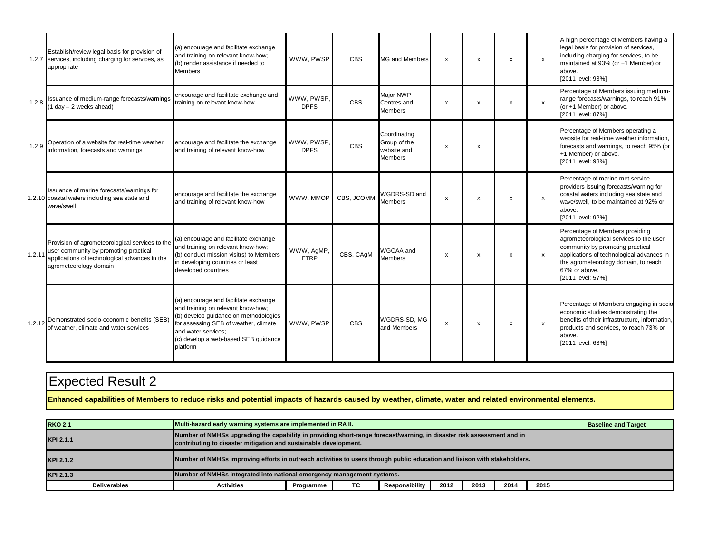|        | Establish/review legal basis for provision of<br>1.2.7 services, including charging for services, as<br>appropriate                                                 | (a) encourage and facilitate exchange<br>and training on relevant know-how;<br>(b) render assistance if needed to<br><b>Members</b>                                                                                                      | WWW. PWSP                 | <b>CBS</b> | MG and Members                                                | $\mathsf{x}$              | $\boldsymbol{\mathsf{x}}$ | X | $\boldsymbol{\mathsf{x}}$ | A high percentage of Members having a<br>legal basis for provision of services,<br>including charging for services, to be<br>maintained at 93% (or +1 Member) or<br>above.<br>[2011 level: 93%]                                           |
|--------|---------------------------------------------------------------------------------------------------------------------------------------------------------------------|------------------------------------------------------------------------------------------------------------------------------------------------------------------------------------------------------------------------------------------|---------------------------|------------|---------------------------------------------------------------|---------------------------|---------------------------|---|---------------------------|-------------------------------------------------------------------------------------------------------------------------------------------------------------------------------------------------------------------------------------------|
| 1.2.8  | Issuance of medium-range forecasts/warnings<br>$(1 day - 2 weeks ahead)$                                                                                            | encourage and facilitate exchange and<br>training on relevant know-how                                                                                                                                                                   | WWW. PWSP.<br><b>DPFS</b> | <b>CBS</b> | Major NWP<br>Centres and<br><b>Members</b>                    | $\boldsymbol{\mathsf{x}}$ | $\boldsymbol{\mathsf{x}}$ | x | $\boldsymbol{\mathsf{x}}$ | Percentage of Members issuing medium-<br>range forecasts/warnings, to reach 91%<br>(or +1 Member) or above.<br>[2011 level: 87%]                                                                                                          |
| 1.2.9  | Operation of a website for real-time weather<br>information, forecasts and warnings                                                                                 | encourage and facilitate the exchange<br>and training of relevant know-how                                                                                                                                                               | WWW, PWSP,<br><b>DPFS</b> | <b>CBS</b> | Coordinating<br>Group of the<br>website and<br><b>Members</b> | x                         | $\boldsymbol{\mathsf{x}}$ |   |                           | Percentage of Members operating a<br>website for real-time weather information,<br>forecasts and warnings, to reach 95% (or<br>+1 Member) or above.<br>[2011 level: 93%]                                                                  |
|        | Issuance of marine forecasts/warnings for<br>1.2.10 coastal waters including sea state and<br>wave/swell                                                            | encourage and facilitate the exchange<br>and training of relevant know-how                                                                                                                                                               | WWW, MMOP                 | CBS, JCOMM | WGDRS-SD and<br><b>Members</b>                                | x                         | $\boldsymbol{\mathsf{x}}$ | X | x                         | Percentage of marine met service<br>providers issuing forecasts/warning for<br>coastal waters including sea state and<br>wave/swell, to be maintained at 92% or<br>above.<br>[2011 level: 92%]                                            |
| 1.2.11 | Provision of agrometeorological services to the<br>user community by promoting practical<br>applications of technological advances in the<br>agrometeorology domain | (a) encourage and facilitate exchange<br>and training on relevant know-how;<br>(b) conduct mission visit(s) to Members<br>in developing countries or least<br>developed countries                                                        | WWW, AgMP,<br><b>ETRP</b> | CBS, CAqM  | WGCAA and<br><b>Members</b>                                   | х                         | $\boldsymbol{\mathsf{x}}$ | x | X                         | Percentage of Members providing<br>agrometeorological services to the user<br>community by promoting practical<br>applications of technological advances in<br>the agrometeorology domain, to reach<br>67% or above.<br>[2011 level: 57%] |
| 1.2.12 | Demonstrated socio-economic benefits (SEB)<br>of weather, climate and water services                                                                                | (a) encourage and facilitate exchange<br>and training on relevant know-how;<br>(b) develop guidance on methodologies<br>for assessing SEB of weather, climate<br>and water services;<br>(c) develop a web-based SEB guidance<br>platform | WWW. PWSP                 | <b>CBS</b> | WGDRS-SD, MG<br>and Members                                   | $\mathsf{x}$              | $\boldsymbol{\mathsf{x}}$ | x | $\boldsymbol{\mathsf{x}}$ | Percentage of Members engaging in socio<br>economic studies demonstrating the<br>benefits of their infrastructure, information,<br>products and services, to reach 73% or<br>above.<br>[2011 level: 63%]                                  |

**Enhanced capabilities of Members to reduce risks and potential impacts of hazards caused by weather, climate, water and related environmental elements.**

| <b>RKO 2.1</b>                                                                                                                                                                                          |                                                                        | Multi-hazard early warning systems are implemented in RA II. |  |  |  |  |  |  |  |  |  |  |
|---------------------------------------------------------------------------------------------------------------------------------------------------------------------------------------------------------|------------------------------------------------------------------------|--------------------------------------------------------------|--|--|--|--|--|--|--|--|--|--|
| Number of NMHSs upgrading the capability in providing short-range forecast/warning, in disaster risk assessment and in<br>KPI 2.1.1<br>contributing to disaster mitigation and sustainable development. |                                                                        |                                                              |  |  |  |  |  |  |  |  |  |  |
| Number of NMHSs improving efforts in outreach activities to users through public education and liaison with stakeholders.<br>KPI 2.1.2                                                                  |                                                                        |                                                              |  |  |  |  |  |  |  |  |  |  |
| KPI 2.1.3                                                                                                                                                                                               | Number of NMHSs integrated into national emergency management systems. |                                                              |  |  |  |  |  |  |  |  |  |  |
| <b>Deliverables</b>                                                                                                                                                                                     | <b>Activities</b>                                                      | 2015                                                         |  |  |  |  |  |  |  |  |  |  |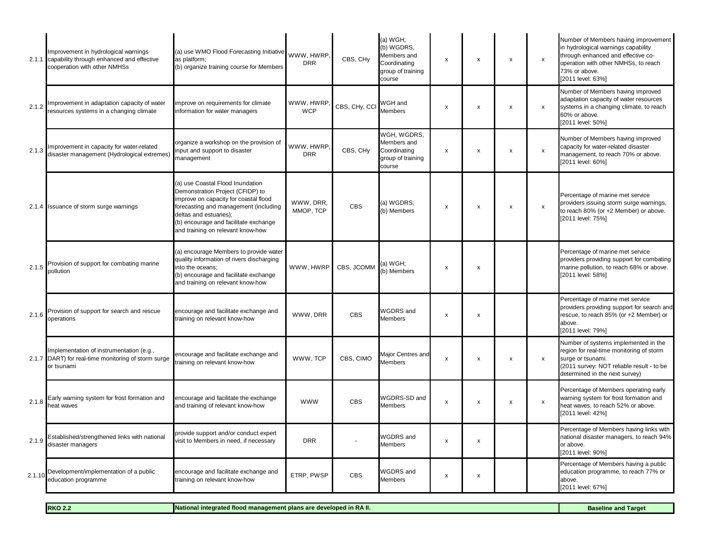| 2.1.1  | Improvement in hydrological warnings<br>capability through enhanced and effective<br>cooperation with other NMHSs | (a) use WMO Flood Forecasting Initiative<br>as platform;<br>(b) organize training course for Members                                                                                                                                                           | WWW. HWRP.<br><b>DRR</b> | CBS, CHy      | (a) WGH;<br>(b) WGDRS,<br>Members and<br>Coordinating<br>group of training<br>course | x                         | $\pmb{\mathsf{x}}$        | x                  | $\pmb{\times}$ | Number of Members having improvement<br>in hydrological warnings capability<br>through enhanced and effective co-<br>operation with other NMHSs, to reach<br>73% or above.<br>[2011 level: 63%] |
|--------|-------------------------------------------------------------------------------------------------------------------|----------------------------------------------------------------------------------------------------------------------------------------------------------------------------------------------------------------------------------------------------------------|--------------------------|---------------|--------------------------------------------------------------------------------------|---------------------------|---------------------------|--------------------|----------------|-------------------------------------------------------------------------------------------------------------------------------------------------------------------------------------------------|
| 2.1.2  | Improvement in adaptation capacity of water<br>resources systems in a changing climate                            | improve on requirements for climate<br>information for water managers                                                                                                                                                                                          | WWW, HWRP<br><b>WCP</b>  | CBS, CHy, CCI | WGH and<br><b>Members</b>                                                            | $\boldsymbol{\mathsf{x}}$ | $\boldsymbol{\mathsf{x}}$ | x                  | $\pmb{\times}$ | Number of Members having improved<br>adaptation capacity of water resources<br>systems in a changing climate, to reach<br>60% or above.<br>[2011 level: 50%]                                    |
| 2.1.3  | Improvement in capacity for water-related<br>disaster management (Hydrological extremes)                          | organize a workshop on the provision of<br>nput and support to disaster<br>management                                                                                                                                                                          | WWW, HWRP.<br><b>DRR</b> | CBS, CHy      | WGH. WGDRS.<br>Members and<br>Coordinating<br>group of training<br>course            | X                         | x                         | $\pmb{\mathsf{x}}$ | $\pmb{\times}$ | Number of Members having improved<br>capacity for water-related disaster<br>management, to reach 70% or above.<br>[2011 level: 60%]                                                             |
|        | 2.1.4 Issuance of storm surge warnings                                                                            | (a) use Coastal Flood Inundation<br>Demonstration Project (CFIDP) to<br>improve on capacity for coastal flood<br>forecasting and management (including<br>deltas and estuaries);<br>(b) encourage and facilitate exchange<br>and training on relevant know-how | WWW, DRR,<br>MMOP, TCP   | <b>CBS</b>    | (a) WGDRS;<br>(b) Members                                                            | X                         | $\pmb{\times}$            | x                  | $\pmb{\times}$ | Percentage of marine met service<br>providers issuing storm surge warnings,<br>to reach 80% (or +2 Member) or above.<br>[2011 level: 75%]                                                       |
| 2.1.5  | Provision of support for combating marine<br>pollution                                                            | (a) encourage Members to provide water<br>quality information of rivers discharging<br>into the oceans:<br>(b) encourage and facilitate exchange<br>and training on relevant know-how                                                                          | WWW, HWRP                | CBS, JCOMM    | (a) WGH:<br>(b) Members                                                              | X                         | $\boldsymbol{\mathsf{x}}$ |                    |                | Percentage of marine met service<br>providers providing support for combating<br>marine pollution, to reach 68% or above.<br>[2011 level: 58%]                                                  |
| 2.1.6  | Provision of support for search and rescue<br>operations                                                          | encourage and facilitate exchange and<br>training on relevant know-how                                                                                                                                                                                         | WWW. DRR                 | <b>CBS</b>    | WGDRS and<br>Members                                                                 | X                         | $\pmb{\times}$            |                    |                | Percentage of marine met service<br>providers providing support for search and<br>rescue, to reach 85% (or +2 Member) or<br>above.<br>[2011 level: 79%]                                         |
| 2.1.7  | Implementation of instrumentation (e.g.,<br>DART) for real-time monitoring of storm surge<br>or tsunami           | encourage and facilitate exchange and<br>raining on relevant know-how                                                                                                                                                                                          | WWW, TCP                 | CBS, CIMO     | Major Centres and<br>Members                                                         | $\boldsymbol{\mathsf{x}}$ | $\pmb{\times}$            | X                  | $\pmb{\times}$ | Number of systems implemented in the<br>region for real-time monitoring of storm<br>surge or tsunami.<br>(2011 survey: NOT reliable result - to be<br>determined in the next survey)            |
| 2.1.8  | Early warning system for frost formation and<br>heat waves                                                        | encourage and facilitate the exchange<br>and training of relevant know-how                                                                                                                                                                                     | <b>WWW</b>               | <b>CBS</b>    | WGDRS-SD and<br><b>Members</b>                                                       | x                         | $\boldsymbol{\mathsf{X}}$ | $\pmb{\mathsf{x}}$ | $\pmb{\times}$ | Percentage of Members operating early<br>warning system for frost formation and<br>heat waves, to reach 52% or above.<br>[2011 level: 42%]                                                      |
| 2.1.9  | Established/strengthened links with national<br>disaster managers                                                 | provide support and/or conduct expert<br>visit to Members in need, if necessary                                                                                                                                                                                | <b>DRR</b>               |               | <b>WGDRS</b> and<br><b>Members</b>                                                   | x                         | $\boldsymbol{\mathsf{x}}$ |                    |                | Percentage of Members having links with<br>national disaster managers, to reach 94%<br>or above.<br>[2011 level: 90%]                                                                           |
| 2.1.10 | Development/implementation of a public<br>education programme                                                     | encourage and facilitate exchange and<br>training on relevant know-how                                                                                                                                                                                         | ETRP, PWSP               | <b>CBS</b>    | WGDRS and<br>Members                                                                 | X                         | x                         |                    |                | Percentage of Members having a public<br>education programme, to reach 77% or<br>above.<br>[2011 level: 67%]                                                                                    |

**RKO 2.2**

**National integrated flood management plans are developed in RA II. Baseline and Target Baseline and Target**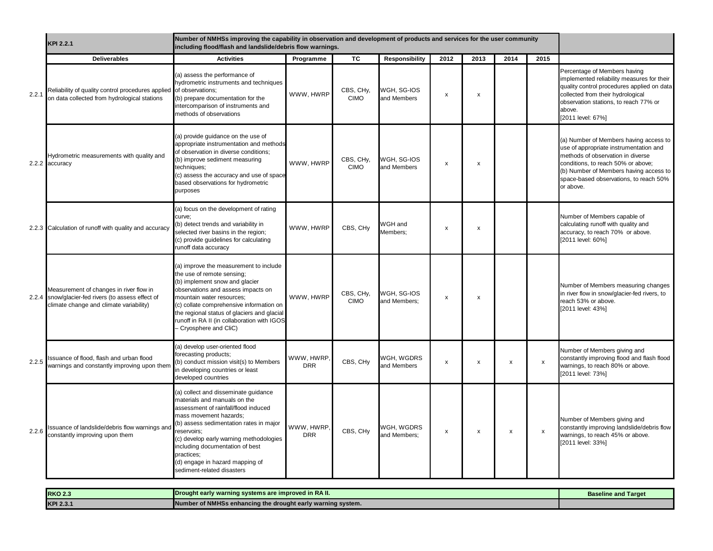|       | KPI 2.2.1                                                                                                                                | Number of NMHSs improving the capability in observation and development of products and services for the user community<br>including flood/flash and landslide/debris flow warnings.                                                                                                                                                                          |                          |                          |                             |                           |                           |      |                           |                                                                                                                                                                                                                                                              |
|-------|------------------------------------------------------------------------------------------------------------------------------------------|---------------------------------------------------------------------------------------------------------------------------------------------------------------------------------------------------------------------------------------------------------------------------------------------------------------------------------------------------------------|--------------------------|--------------------------|-----------------------------|---------------------------|---------------------------|------|---------------------------|--------------------------------------------------------------------------------------------------------------------------------------------------------------------------------------------------------------------------------------------------------------|
|       | <b>Deliverables</b>                                                                                                                      | <b>Activities</b>                                                                                                                                                                                                                                                                                                                                             | Programme                | TC                       | <b>Responsibility</b>       | 2012                      | 2013                      | 2014 | 2015                      |                                                                                                                                                                                                                                                              |
| 2.2.1 | Reliability of quality control procedures applied of observations;<br>on data collected from hydrological stations                       | (a) assess the performance of<br>hydrometric instruments and techniques<br>(b) prepare documentation for the<br>intercomparison of instruments and<br>methods of observations                                                                                                                                                                                 | WWW. HWRP                | CBS, CHy,<br><b>CIMO</b> | WGH, SG-IOS<br>and Members  | $\boldsymbol{\mathsf{x}}$ | $\boldsymbol{\mathsf{x}}$ |      |                           | Percentage of Members having<br>implemented reliability measures for their<br>quality control procedures applied on data<br>collected from their hydrological<br>observation stations, to reach 77% or<br>above.<br>[2011 level: 67%]                        |
|       | Hydrometric measurements with quality and<br>2.2.2 accuracy                                                                              | (a) provide guidance on the use of<br>appropriate instrumentation and methods<br>of observation in diverse conditions;<br>(b) improve sediment measuring<br>techniques;<br>(c) assess the accuracy and use of space<br>based observations for hydrometric<br>purposes                                                                                         | WWW, HWRP                | CBS, CHy,<br><b>CIMO</b> | WGH, SG-IOS<br>and Members  | $\pmb{\chi}$              | x                         |      |                           | (a) Number of Members having access to<br>use of appropriate instrumentation and<br>methods of observation in diverse<br>conditions, to reach 50% or above;<br>(b) Number of Members having access to<br>space-based observations, to reach 50%<br>or above. |
|       | 2.2.3 Calculation of runoff with quality and accuracy                                                                                    | (a) focus on the development of rating<br>curve:<br>(b) detect trends and variability in<br>selected river basins in the region;<br>(c) provide guidelines for calculating<br>runoff data accuracy                                                                                                                                                            | WWW, HWRP                | CBS, CHy                 | WGH and<br>Members:         | $\boldsymbol{\mathsf{x}}$ | $\boldsymbol{\mathsf{x}}$ |      |                           | Number of Members capable of<br>calculating runoff with quality and<br>accuracy, to reach 70% or above.<br>[2011 level: 60%]                                                                                                                                 |
|       | Measurement of changes in river flow in<br>2.2.4 snow/glacier-fed rivers (to assess effect of<br>climate change and climate variability) | (a) improve the measurement to include<br>the use of remote sensing;<br>(b) implement snow and glacier<br>observations and assess impacts on<br>mountain water resources;<br>(c) collate comprehensive information on<br>the regional status of glaciers and glacial<br>runoff in RA II (in collaboration with IGOS<br>- Cryosphere and CliC)                 | WWW, HWRP                | CBS, CHy,<br><b>CIMO</b> | WGH, SG-IOS<br>and Members; | $\pmb{\chi}$              | $\pmb{\times}$            |      |                           | Number of Members measuring changes<br>in river flow in snow/glacier-fed rivers, to<br>reach 53% or above.<br>[2011 level: 43%]                                                                                                                              |
| 2.2.5 | ssuance of flood, flash and urban flood<br>warnings and constantly improving upon them                                                   | (a) develop user-oriented flood<br>forecasting products;<br>(b) conduct mission visit(s) to Members<br>in developing countries or least<br>developed countries                                                                                                                                                                                                | WWW, HWRP.<br><b>DRR</b> | CBS, CHy                 | WGH, WGDRS<br>and Members   | $\pmb{\mathsf{x}}$        | $\pmb{\times}$            | x    | $\boldsymbol{\mathsf{x}}$ | Number of Members giving and<br>constantly improving flood and flash flood<br>warnings, to reach 80% or above.<br>[2011 level: 73%]                                                                                                                          |
| 2.2.6 | ssuance of landslide/debris flow warnings and<br>constantly improving upon them                                                          | (a) collect and disseminate guidance<br>materials and manuals on the<br>assessment of rainfall/flood induced<br>mass movement hazards;<br>(b) assess sedimentation rates in major<br>reservoirs;<br>(c) develop early warning methodologies<br>including documentation of best<br>practices;<br>(d) engage in hazard mapping of<br>sediment-related disasters | WWW, HWRP.<br><b>DRR</b> | CBS, CHy                 | WGH, WGDRS<br>and Members:  | $\pmb{\mathsf{x}}$        | $\pmb{\times}$            | x    | X                         | Number of Members giving and<br>constantly improving landslide/debris flow<br>warnings, to reach 45% or above.<br>[2011 level: 33%]                                                                                                                          |

| <b>RKO 2.3</b> | <b>Solution</b> Drought early warning systems are improved in RA II. | <b>Baseline and Target</b> |
|----------------|----------------------------------------------------------------------|----------------------------|
| KPI 2.3.       | Number of NMHSs enhancing the drought early warning system.          |                            |
|                |                                                                      |                            |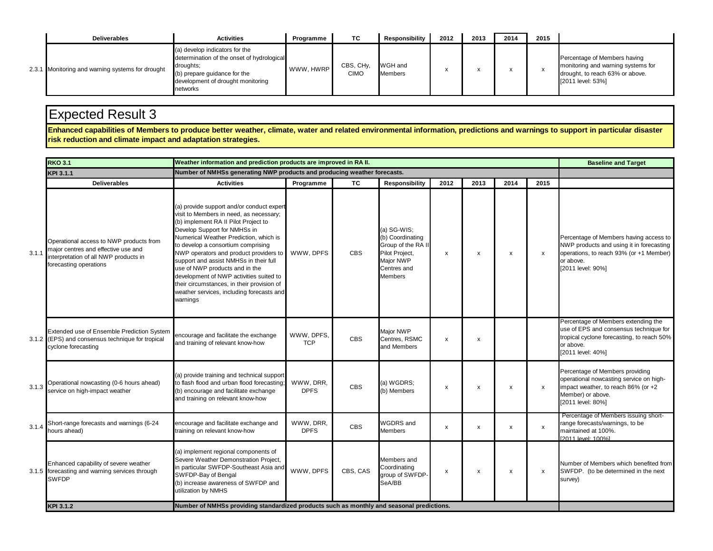| <b>Deliverables</b>                              | <b>Activities</b>                                                                                                                                                          | Programme | ТC                                    | <b>Responsibility</b>     | 2012 | 2013 | 2014 | 2015 |                                                                                                                            |
|--------------------------------------------------|----------------------------------------------------------------------------------------------------------------------------------------------------------------------------|-----------|---------------------------------------|---------------------------|------|------|------|------|----------------------------------------------------------------------------------------------------------------------------|
| 2.3.1 Monitoring and warning systems for drought | (a) develop indicators for the<br>determination of the onset of hydrological<br>droughts:<br>(b) prepare guidance for the<br>development of drought monitoring<br>networks | WWW. HWRP | CBS, CH <sub>V</sub> ,<br><b>CIMO</b> | WGH and<br><b>Members</b> |      |      |      |      | Percentage of Members having<br>monitoring and warning systems for<br>drought, to reach 63% or above.<br>[2011 level: 53%] |

Enhanced capabilities of Members to produce better weather, climate, water and related environmental information, predictions and warnings to support in particular disaster<br>risk reduction and climate impact and adaptation

|       | <b>RKO 3.1</b>                                                                                                                                    | Weather information and prediction products are improved in RA II.                                                                                                                                                                                                                                                                                                                                                                                                                                                   |                          | <b>Baseline and Target</b> |                                                                                                                       |                           |                           |                           |                           |                                                                                                                                                                 |
|-------|---------------------------------------------------------------------------------------------------------------------------------------------------|----------------------------------------------------------------------------------------------------------------------------------------------------------------------------------------------------------------------------------------------------------------------------------------------------------------------------------------------------------------------------------------------------------------------------------------------------------------------------------------------------------------------|--------------------------|----------------------------|-----------------------------------------------------------------------------------------------------------------------|---------------------------|---------------------------|---------------------------|---------------------------|-----------------------------------------------------------------------------------------------------------------------------------------------------------------|
|       | KPI 3.1.1                                                                                                                                         | Number of NMHSs generating NWP products and producing weather forecasts.                                                                                                                                                                                                                                                                                                                                                                                                                                             |                          |                            |                                                                                                                       |                           |                           |                           |                           |                                                                                                                                                                 |
|       | <b>Deliverables</b>                                                                                                                               | <b>Activities</b>                                                                                                                                                                                                                                                                                                                                                                                                                                                                                                    | Programme                | ТC                         | <b>Responsibility</b>                                                                                                 | 2012                      | 2013                      | 2014                      | 2015                      |                                                                                                                                                                 |
| 3.1.1 | Operational access to NWP products from<br>major centres and effective use and<br>interpretation of all NWP products in<br>forecasting operations | (a) provide support and/or conduct expert<br>visit to Members in need, as necessary;<br>(b) implement RA II Pilot Project to<br>Develop Support for NMHSs in<br>Numerical Weather Prediction, which is<br>to develop a consortium comprising<br>NWP operators and product providers to<br>support and assist NMHSs in their full<br>use of NWP products and in the<br>development of NWP activities suited to<br>their circumstances, in their provision of<br>weather services, including forecasts and<br>warnings | WWW, DPFS                | <b>CBS</b>                 | (a) SG-WIS:<br>(b) Coordinating<br>Group of the RA II<br>Pilot Project,<br>Major NWP<br>Centres and<br><b>Members</b> | $\boldsymbol{\mathsf{x}}$ | x                         | $\pmb{\chi}$              | x                         | Percentage of Members having access to<br>NWP products and using it in forecasting<br>operations, to reach 93% (or +1 Member)<br>or above.<br>[2011 level: 90%] |
|       | Extended use of Ensemble Prediction System<br>3.1.2 (EPS) and consensus technique for tropical<br>cyclone forecasting                             | encourage and facilitate the exchange<br>and training of relevant know-how                                                                                                                                                                                                                                                                                                                                                                                                                                           | WWW, DPFS,<br><b>TCP</b> | <b>CBS</b>                 | Maior NWP<br>Centres, RSMC<br>and Members                                                                             | X                         | $\boldsymbol{\mathsf{x}}$ |                           |                           | Percentage of Members extending the<br>use of EPS and consensus technique for<br>tropical cyclone forecasting, to reach 50%<br>or above.<br>[2011 level: 40%]   |
| 3.1.3 | Operational nowcasting (0-6 hours ahead)<br>service on high-impact weather                                                                        | (a) provide training and technical support<br>to flash flood and urban flood forecasting;<br>(b) encourage and facilitate exchange<br>and training on relevant know-how                                                                                                                                                                                                                                                                                                                                              | WWW, DRR,<br><b>DPFS</b> | <b>CBS</b>                 | (a) WGDRS;<br>(b) Members                                                                                             | x                         | x                         | x                         | $\boldsymbol{\mathsf{x}}$ | Percentage of Members providing<br>operational nowcasting service on high-<br>impact weather, to reach 86% (or +2<br>Member) or above.<br>[2011 level: 80%]     |
| 3.1.4 | Short-range forecasts and warnings (6-24<br>hours ahead)                                                                                          | encourage and facilitate exchange and<br>training on relevant know-how                                                                                                                                                                                                                                                                                                                                                                                                                                               | WWW, DRR,<br><b>DPFS</b> | <b>CBS</b>                 | <b>WGDRS</b> and<br><b>Members</b>                                                                                    | X                         | $\mathsf{x}$              | $\mathsf{x}$              | $\mathsf{x}$              | Percentage of Members issuing short-<br>range forecasts/warnings, to be<br>maintained at 100%.<br>[2011 level: 100%]                                            |
|       | Enhanced capability of severe weather<br>3.1.5 forecasting and warning services through<br><b>SWFDP</b>                                           | (a) implement regional components of<br>Severe Weather Demonstration Project,<br>in particular SWFDP-Southeast Asia and<br>SWFDP-Bay of Bengal<br>(b) increase awareness of SWFDP and<br>utilization by NMHS                                                                                                                                                                                                                                                                                                         | WWW. DPFS                | CBS, CAS                   | Members and<br>Coordinating<br>group of SWFDP-<br>SeA/BB                                                              | x                         | $\boldsymbol{\mathsf{x}}$ | $\boldsymbol{\mathsf{x}}$ | $\mathsf{x}$              | Number of Members which benefited from<br>SWFDP. (to be determined in the next<br>survey)                                                                       |
|       | KPI 3.1.2                                                                                                                                         | Number of NMHSs providing standardized products such as monthly and seasonal predictions.                                                                                                                                                                                                                                                                                                                                                                                                                            |                          |                            |                                                                                                                       |                           |                           |                           |                           |                                                                                                                                                                 |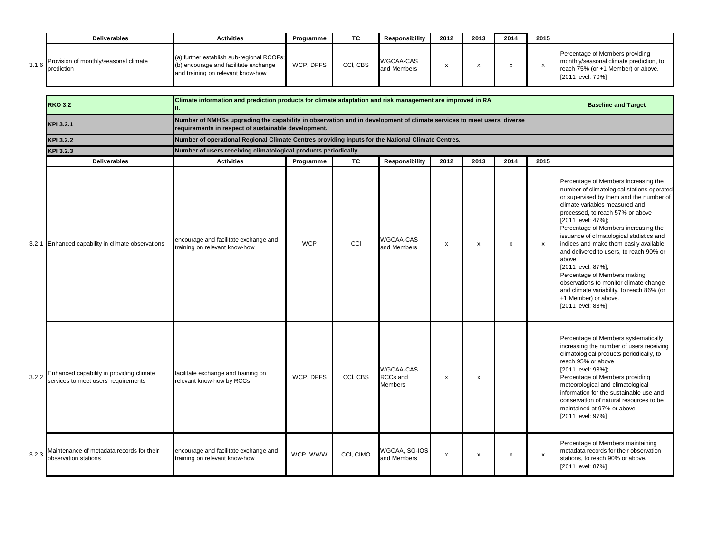|       | <b>Deliverables</b>                                 | <b>Activities</b>                                                                                                       | Programme | <b>TC</b> | Responsibility           | 2012 | 2013 | 2014 | 2015 |                                                                                                                                       |
|-------|-----------------------------------------------------|-------------------------------------------------------------------------------------------------------------------------|-----------|-----------|--------------------------|------|------|------|------|---------------------------------------------------------------------------------------------------------------------------------------|
| 3.1.6 | Provision of monthly/seasonal climate<br>prediction | (a) further establish sub-regional RCOFs;<br>(b) encourage and facilitate exchange<br>and training on relevant know-how | WCP. DPFS | CCI. CBS  | WGCAA-CAS<br>and Members |      |      |      |      | Percentage of Members providing<br>monthly/seasonal climate prediction, to<br>reach 75% (or +1 Member) or above.<br>[2011 level: 70%] |

|       | <b>RKO 3.2</b>                                                                   | <b>Baseline and Target</b>                                                                                                                                                   |            |           |                                                 |      |      |                    |                |                                                                                                                                                                                                                                                                                                                                                                                                                                                                                                                                                                                                        |
|-------|----------------------------------------------------------------------------------|------------------------------------------------------------------------------------------------------------------------------------------------------------------------------|------------|-----------|-------------------------------------------------|------|------|--------------------|----------------|--------------------------------------------------------------------------------------------------------------------------------------------------------------------------------------------------------------------------------------------------------------------------------------------------------------------------------------------------------------------------------------------------------------------------------------------------------------------------------------------------------------------------------------------------------------------------------------------------------|
|       | KPI 3.2.1                                                                        | Number of NMHSs upgrading the capability in observation and in development of climate services to meet users' diverse<br>requirements in respect of sustainable development. |            |           |                                                 |      |      |                    |                |                                                                                                                                                                                                                                                                                                                                                                                                                                                                                                                                                                                                        |
|       | <b>KPI 3.2.2</b>                                                                 | Number of operational Regional Climate Centres providing inputs for the National Climate Centres.                                                                            |            |           |                                                 |      |      |                    |                |                                                                                                                                                                                                                                                                                                                                                                                                                                                                                                                                                                                                        |
|       | KPI 3.2.3                                                                        | Number of users receiving climatological products periodically.                                                                                                              |            |           |                                                 |      |      |                    |                |                                                                                                                                                                                                                                                                                                                                                                                                                                                                                                                                                                                                        |
|       | <b>Deliverables</b>                                                              | <b>Activities</b>                                                                                                                                                            | Programme  | TC        | Responsibility                                  | 2012 | 2013 | 2014               | 2015           |                                                                                                                                                                                                                                                                                                                                                                                                                                                                                                                                                                                                        |
| 3.2.1 | Enhanced capability in climate observations                                      | encourage and facilitate exchange and<br>training on relevant know-how                                                                                                       | <b>WCP</b> | CCI       | <b>WGCAA-CAS</b><br>and Members                 | x    | x    | $\pmb{\mathsf{x}}$ | x              | Percentage of Members increasing the<br>number of climatological stations operated<br>or supervised by them and the number of<br>climate variables measured and<br>processed, to reach 57% or above<br>[2011 level: 47%];<br>Percentage of Members increasing the<br>issuance of climatological statistics and<br>indices and make them easily available<br>and delivered to users, to reach 90% or<br>above<br>[2011 level: 87%];<br>Percentage of Members making<br>observations to monitor climate change<br>and climate variability, to reach 86% (or<br>+1 Member) or above.<br>[2011 level: 83%] |
| 3.2.2 | Enhanced capability in providing climate<br>services to meet users' requirements | facilitate exchange and training on<br>relevant know-how by RCCs                                                                                                             | WCP, DPFS  | CCI, CBS  | WGCAA-CAS.<br><b>RCCs</b> and<br><b>Members</b> | x    | x    |                    |                | Percentage of Members systematically<br>increasing the number of users receiving<br>climatological products periodically, to<br>reach 95% or above<br>[2011 level: 93%];<br>Percentage of Members providing<br>meteorological and climatological<br>information for the sustainable use and<br>conservation of natural resources to be<br>maintained at 97% or above.<br>[2011 level: 97%]                                                                                                                                                                                                             |
| 3.2.3 | Maintenance of metadata records for their<br>observation stations                | encourage and facilitate exchange and<br>training on relevant know-how                                                                                                       | WCP, WWW   | CCI, CIMO | WGCAA, SG-IOS<br>and Members                    | x    | х    | x                  | $\pmb{\times}$ | Percentage of Members maintaining<br>metadata records for their observation<br>stations, to reach 90% or above.<br>[2011 level: 87%]                                                                                                                                                                                                                                                                                                                                                                                                                                                                   |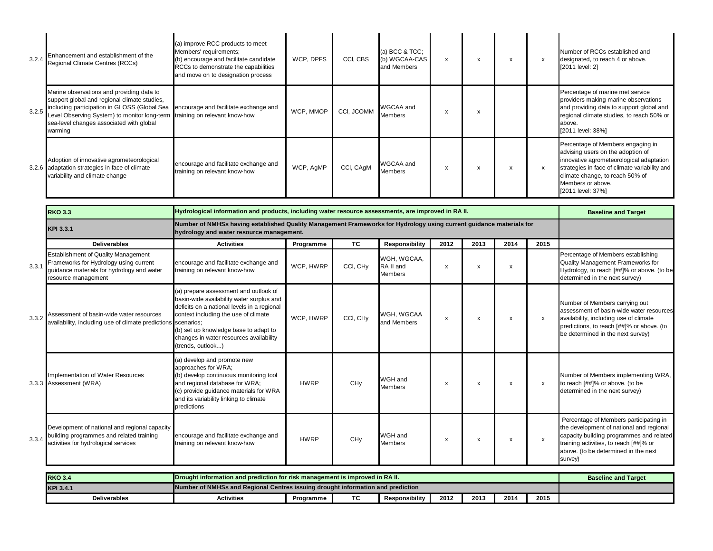| 3.2.4 Enhancement and establishment of the<br>Regional Climate Centres (RCCs)                                                                                                                                                                                                        | (a) improve RCC products to meet<br>Members' requirements;<br>(b) encourage and facilitate candidate<br>RCCs to demonstrate the capabilities<br>and move on to designation process | WCP, DPFS | CCI, CBS   | (a) BCC $&TCC$ ;<br>(b) WGCAA-CAS<br>and Members | х | x | x | Number of RCCs established and<br>designated, to reach 4 or above.<br>[2011 level: 2]                                                                                                                                                            |
|--------------------------------------------------------------------------------------------------------------------------------------------------------------------------------------------------------------------------------------------------------------------------------------|------------------------------------------------------------------------------------------------------------------------------------------------------------------------------------|-----------|------------|--------------------------------------------------|---|---|---|--------------------------------------------------------------------------------------------------------------------------------------------------------------------------------------------------------------------------------------------------|
| Marine observations and providing data to<br>support global and regional climate studies,<br>3.2.5 Including participation in GLOSS (Global Sea<br>Level Observing System) to monitor long-term training on relevant know-how<br>sea-level changes associated with global<br>warming | encourage and facilitate exchange and                                                                                                                                              | WCP, MMOP | CCI, JCOMM | WGCAA and<br>Members                             | x | x |   | Percentage of marine met service<br>providers making marine observations<br>and providing data to support global and<br>regional climate studies, to reach 50% or<br>above.<br>[2011 level: 38%]                                                 |
| Adoption of innovative agrometeorological<br>3.2.6 adaptation strategies in face of climate<br>variability and climate change                                                                                                                                                        | encourage and facilitate exchange and<br>training on relevant know-how                                                                                                             | WCP, AgMP | CCI, CAqM  | WGCAA and<br><b>Members</b>                      | ж | x | x | Percentage of Members engaging in<br>advising users on the adoption of<br>innovative agrometeorological adaptation<br>strategies in face of climate variability and<br>climate change, to reach 50% of<br>Members or above.<br>[2011 level: 37%] |

|       | <b>RKO 3.3</b>                                                                                                                                            | Hydrological information and products, including water resource assessments, are improved in RA II.                                                                                                                                                                                |                                                                                                                                                                 |                 |                                            |      |      |      |      | <b>Baseline and Target</b>                                                                                                                                                                                                  |  |  |  |
|-------|-----------------------------------------------------------------------------------------------------------------------------------------------------------|------------------------------------------------------------------------------------------------------------------------------------------------------------------------------------------------------------------------------------------------------------------------------------|-----------------------------------------------------------------------------------------------------------------------------------------------------------------|-----------------|--------------------------------------------|------|------|------|------|-----------------------------------------------------------------------------------------------------------------------------------------------------------------------------------------------------------------------------|--|--|--|
|       | <b>KPI 3.3.1</b>                                                                                                                                          |                                                                                                                                                                                                                                                                                    | Number of NMHSs having established Quality Management Frameworks for Hydrology using current guidance materials for<br>hydrology and water resource management. |                 |                                            |      |      |      |      |                                                                                                                                                                                                                             |  |  |  |
|       | <b>Deliverables</b>                                                                                                                                       | <b>Activities</b>                                                                                                                                                                                                                                                                  | Programme                                                                                                                                                       | <b>TC</b>       | <b>Responsibility</b>                      | 2012 | 2013 | 2014 | 2015 |                                                                                                                                                                                                                             |  |  |  |
| 3.3.1 | <b>Establishment of Quality Management</b><br>Frameworks for Hydrology using current<br>guidance materials for hydrology and water<br>resource management | encourage and facilitate exchange and<br>training on relevant know-how                                                                                                                                                                                                             | WCP, HWRP                                                                                                                                                       | CCI, CHy        | WGH, WGCAA,<br>RA II and<br><b>Members</b> | x    | X    | x    |      | Percentage of Members establishing<br>Quality Management Frameworks for<br>Hydrology, to reach [##]% or above. (to be<br>determined in the next survey)                                                                     |  |  |  |
| 3.3.2 | Assessment of basin-wide water resources<br>availability, including use of climate predictions scenarios;                                                 | (a) prepare assessment and outlook of<br>basin-wide availability water surplus and<br>deficits on a national levels in a regional<br>context including the use of climate<br>(b) set up knowledge base to adapt to<br>changes in water resources availability<br>(trends, outlook) | WCP, HWRP                                                                                                                                                       | CCI, CHy        | WGH, WGCAA<br>and Members                  | X    | X    | x    | x    | Number of Members carrying out<br>assessment of basin-wide water resources<br>availability, including use of climate<br>predictions, to reach [##]% or above. (to<br>be determined in the next survey)                      |  |  |  |
|       | Implementation of Water Resources<br>3.3.3 Assessment (WRA)                                                                                               | (a) develop and promote new<br>approaches for WRA;<br>(b) develop continuous monitoring tool<br>and regional database for WRA;<br>(c) provide quidance materials for WRA<br>and its variability linking to climate<br>predictions                                                  | <b>HWRP</b>                                                                                                                                                     | CH <sub>V</sub> | WGH and<br><b>Members</b>                  | X    | x    | x    | X    | Number of Members implementing WRA,<br>to reach [##]% or above. (to be<br>determined in the next survey)                                                                                                                    |  |  |  |
| 3.3.4 | Development of national and regional capacity<br>building programmes and related training<br>activities for hydrological services                         | encourage and facilitate exchange and<br>training on relevant know-how                                                                                                                                                                                                             | <b>HWRP</b>                                                                                                                                                     | CH <sub>V</sub> | WGH and<br><b>Members</b>                  | х    | x    | X    | x    | Percentage of Members participating in<br>the development of national and regional<br>capacity building programmes and related<br>training activities, to reach [##]% or<br>above. (to be determined in the next<br>survey) |  |  |  |

| <b>RKO 3.4</b>      | <b>IDrought information and prediction for risk management is improved in RA II.</b> |                                                                                 |  |  |  |  |  |  |  |  |
|---------------------|--------------------------------------------------------------------------------------|---------------------------------------------------------------------------------|--|--|--|--|--|--|--|--|
| KPI 3.4.1           |                                                                                      | Number of NMHSs and Regional Centres issuing drought information and prediction |  |  |  |  |  |  |  |  |
| <b>Deliverables</b> | ТC<br>2012<br>2014<br>2013<br>2015<br>Responsibility<br>Activities<br>Programme      |                                                                                 |  |  |  |  |  |  |  |  |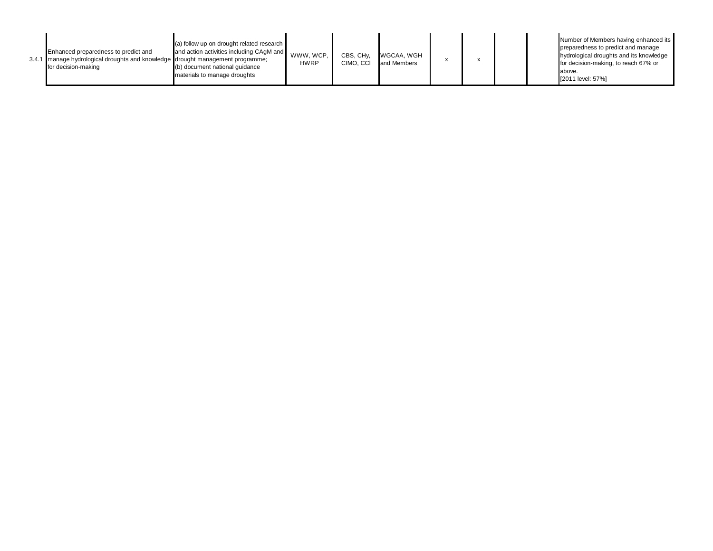|  | Enhanced preparedness to predict and<br>3.4.1 manage hydrological droughts and knowledge drought management programme:<br>for decision-making | (a) follow up on drought related research<br>and action activities including CAqM and<br>(b) document national quidance<br>materials to manage droughts | WWW. WCP.<br><b>HWRP</b> | CBS, CH <sub>v</sub><br>CIMO. CCI | WGCAA, WGH<br>and Members |  |  |  |  | Number of Members having enhanced its<br>preparedness to predict and manage<br>hydrological droughts and its knowledge<br>for decision-making, to reach 67% or<br>above.<br>[2011 level: 57%] |
|--|-----------------------------------------------------------------------------------------------------------------------------------------------|---------------------------------------------------------------------------------------------------------------------------------------------------------|--------------------------|-----------------------------------|---------------------------|--|--|--|--|-----------------------------------------------------------------------------------------------------------------------------------------------------------------------------------------------|
|--|-----------------------------------------------------------------------------------------------------------------------------------------------|---------------------------------------------------------------------------------------------------------------------------------------------------------|--------------------------|-----------------------------------|---------------------------|--|--|--|--|-----------------------------------------------------------------------------------------------------------------------------------------------------------------------------------------------|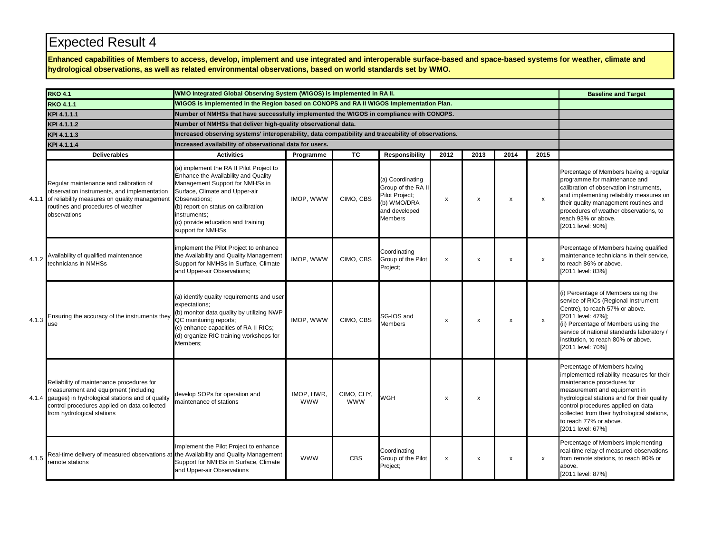**Enhanced capabilities of Members to access, develop, implement and use integrated and interoperable surface-based and space-based systems for weather, climate and hydrological observations, as well as related environmental observations, based on world standards set by WMO.**

|       | <b>RKO 4.1</b>                                                                                                                                                                                                           | WMO Integrated Global Observing System (WIGOS) is implemented in RA II.                                                                                                                                                                                                                  |                                                         |                          |                                                                                                            |                           |                |      |                           | <b>Baseline and Target</b>                                                                                                                                                                                                                                                                                                  |  |  |
|-------|--------------------------------------------------------------------------------------------------------------------------------------------------------------------------------------------------------------------------|------------------------------------------------------------------------------------------------------------------------------------------------------------------------------------------------------------------------------------------------------------------------------------------|---------------------------------------------------------|--------------------------|------------------------------------------------------------------------------------------------------------|---------------------------|----------------|------|---------------------------|-----------------------------------------------------------------------------------------------------------------------------------------------------------------------------------------------------------------------------------------------------------------------------------------------------------------------------|--|--|
|       | <b>RKO 4.1.1</b>                                                                                                                                                                                                         | WIGOS is implemented in the Region based on CONOPS and RA II WIGOS Implementation Plan.                                                                                                                                                                                                  |                                                         |                          |                                                                                                            |                           |                |      |                           |                                                                                                                                                                                                                                                                                                                             |  |  |
|       | KPI 4.1.1.1                                                                                                                                                                                                              | Number of NMHSs that have successfully implemented the WIGOS in compliance with CONOPS.                                                                                                                                                                                                  |                                                         |                          |                                                                                                            |                           |                |      |                           |                                                                                                                                                                                                                                                                                                                             |  |  |
|       | KPI 4.1.1.2                                                                                                                                                                                                              | Number of NMHSs that deliver high-quality observational data.                                                                                                                                                                                                                            |                                                         |                          |                                                                                                            |                           |                |      |                           |                                                                                                                                                                                                                                                                                                                             |  |  |
|       | KPI 4.1.1.3                                                                                                                                                                                                              | Increased observing systems' interoperability, data compatibility and traceability of observations.                                                                                                                                                                                      |                                                         |                          |                                                                                                            |                           |                |      |                           |                                                                                                                                                                                                                                                                                                                             |  |  |
|       | KPI 4.1.1.4                                                                                                                                                                                                              |                                                                                                                                                                                                                                                                                          | Increased availability of observational data for users. |                          |                                                                                                            |                           |                |      |                           |                                                                                                                                                                                                                                                                                                                             |  |  |
|       | <b>Deliverables</b>                                                                                                                                                                                                      | <b>Activities</b>                                                                                                                                                                                                                                                                        | Programme                                               | <b>TC</b>                | <b>Responsibility</b>                                                                                      | 2012                      | 2013           | 2014 | 2015                      |                                                                                                                                                                                                                                                                                                                             |  |  |
|       | Regular maintenance and calibration of<br>observation instruments, and implementation<br>4.1.1 of reliability measures on quality management<br>routines and procedures of weather<br>observations                       | (a) implement the RA II Pilot Project to<br>Enhance the Availability and Quality<br>Management Support for NMHSs in<br>Surface, Climate and Upper-air<br>Observations:<br>(b) report on status on calibration<br>instruments:<br>(c) provide education and training<br>support for NMHSs | IMOP, WWW                                               | CIMO, CBS                | (a) Coordinating<br>Group of the RA II<br>Pilot Project;<br>(b) WMO/DRA<br>and developed<br><b>Members</b> | x                         | X              | x    | $\boldsymbol{\mathsf{x}}$ | Percentage of Members having a regular<br>programme for maintenance and<br>calibration of observation instruments,<br>and implementing reliability measures on<br>their quality management routines and<br>procedures of weather observations, to<br>reach 93% or above.<br>[2011 level: 90%]                               |  |  |
| 4.1.2 | Availability of qualified maintenance<br>technicians in NMHSs                                                                                                                                                            | implement the Pilot Project to enhance<br>the Availability and Quality Management<br>Support for NMHSs in Surface, Climate<br>and Upper-air Observations;                                                                                                                                | IMOP, WWW                                               | CIMO, CBS                | Coordinating<br>Group of the Pilot<br>Project;                                                             | $\boldsymbol{\mathsf{x}}$ | X              | x    | $\boldsymbol{\mathsf{x}}$ | Percentage of Members having qualified<br>maintenance technicians in their service,<br>to reach 86% or above.<br>[2011 level: 83%]                                                                                                                                                                                          |  |  |
| 4.1.3 | Ensuring the accuracy of the instruments they<br>use                                                                                                                                                                     | (a) identify quality requirements and user<br>expectations;<br>(b) monitor data quality by utilizing NWP<br>QC monitoring reports;<br>(c) enhance capacities of RA II RICs;<br>(d) organize RIC training workshops for<br>Members:                                                       | IMOP, WWW                                               | CIMO. CBS                | SG-IOS and<br><b>Members</b>                                                                               | $\boldsymbol{\mathsf{x}}$ | $\pmb{\times}$ | x    | $\boldsymbol{\mathsf{x}}$ | (i) Percentage of Members using the<br>service of RICs (Regional Instrument<br>Centre), to reach 57% or above.<br>[2011 level: 47%];<br>(ii) Percentage of Members using the<br>service of national standards laboratory /<br>institution, to reach 80% or above.<br>[2011 level: 70%]                                      |  |  |
|       | Reliability of maintenance procedures for<br>measurement and equipment (including<br>4.1.4 gauges) in hydrological stations and of quality<br>control procedures applied on data collected<br>from hydrological stations | develop SOPs for operation and<br>maintenance of stations                                                                                                                                                                                                                                | IMOP, HWR,<br><b>WWW</b>                                | CIMO, CHY,<br><b>WWW</b> | <b>WGH</b>                                                                                                 | $\boldsymbol{\mathsf{x}}$ | х              |      |                           | Percentage of Members having<br>implemented reliability measures for their<br>maintenance procedures for<br>measurement and equipment in<br>hydrological stations and for their quality<br>control procedures applied on data<br>collected from their hydrological stations,<br>to reach 77% or above.<br>[2011 level: 67%] |  |  |
| 4.1.5 | Real-time delivery of measured observations at the Availability and Quality Management<br>remote stations                                                                                                                | Implement the Pilot Project to enhance<br>Support for NMHSs in Surface, Climate<br>and Upper-air Observations                                                                                                                                                                            | <b>WWW</b>                                              | <b>CBS</b>               | Coordinating<br>Group of the Pilot<br>Project:                                                             | x                         | x              | x    | $\mathsf{x}$              | Percentage of Members implementing<br>real-time relay of measured observations<br>from remote stations, to reach 90% or<br>above.<br>[2011 level: 87%]                                                                                                                                                                      |  |  |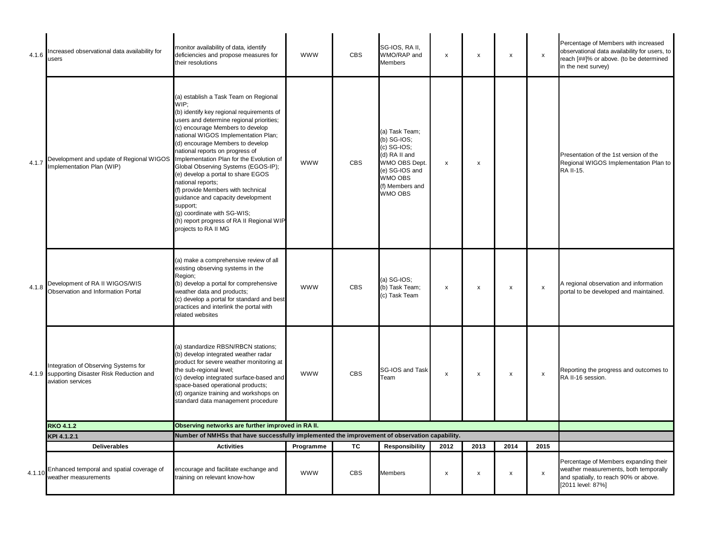| 4.1.6  | Increased observational data availability for<br>users                                                         | monitor availability of data, identify<br>deficiencies and propose measures for<br>their resolutions                                                                                                                                                                                                                                                                                                                                                                                                                                                                                  | <b>WWW</b> | <b>CBS</b> | SG-IOS, RA II,<br>WMO/RAP and<br>Members                                                                                                    | $\pmb{\chi}$              | $\pmb{\times}$ | X    | x                  | Percentage of Members with increased<br>observational data availability for users, to<br>reach [##]% or above. (to be determined<br>in the next survey) |
|--------|----------------------------------------------------------------------------------------------------------------|---------------------------------------------------------------------------------------------------------------------------------------------------------------------------------------------------------------------------------------------------------------------------------------------------------------------------------------------------------------------------------------------------------------------------------------------------------------------------------------------------------------------------------------------------------------------------------------|------------|------------|---------------------------------------------------------------------------------------------------------------------------------------------|---------------------------|----------------|------|--------------------|---------------------------------------------------------------------------------------------------------------------------------------------------------|
| 4.1.7  | Development and update of Regional WIGOS Implementation Plan for the Evolution of<br>Implementation Plan (WIP) | (a) establish a Task Team on Regional<br>WIP:<br>(b) identify key regional requirements of<br>users and determine regional priorities;<br>(c) encourage Members to develop<br>national WIGOS Implementation Plan;<br>(d) encourage Members to develop<br>national reports on progress of<br>Global Observing Systems (EGOS-IP);<br>(e) develop a portal to share EGOS<br>national reports;<br>(f) provide Members with technical<br>guidance and capacity development<br>support;<br>(g) coordinate with SG-WIS;<br>(h) report progress of RA II Regional WIP<br>projects to RA II MG | <b>WWW</b> | <b>CBS</b> | (a) Task Team;<br>(b) SG-IOS;<br>$(c)$ SG-IOS;<br>(d) RA II and<br>WMO OBS Dept.<br>(e) SG-IOS and<br>WMO OBS<br>(f) Members and<br>WMO OBS | x                         | X              |      |                    | Presentation of the 1st version of the<br>Regional WIGOS Implementation Plan to<br>RA II-15.                                                            |
| 4.1.8  | Development of RA II WIGOS/WIS<br>Observation and Information Portal                                           | (a) make a comprehensive review of all<br>existing observing systems in the<br>Region;<br>(b) develop a portal for comprehensive<br>weather data and products;<br>(c) develop a portal for standard and best<br>practices and interlink the portal with<br>related websites                                                                                                                                                                                                                                                                                                           | <b>WWW</b> | <b>CBS</b> | $(a)$ SG-IOS;<br>(b) Task Team;<br>(c) Task Team                                                                                            | x                         | x              | х    | x                  | A regional observation and information<br>portal to be developed and maintained.                                                                        |
|        | Integration of Observing Systems for<br>4.1.9 supporting Disaster Risk Reduction and<br>aviation services      | (a) standardize RBSN/RBCN stations;<br>(b) develop integrated weather radar<br>product for severe weather monitoring at<br>the sub-regional level;<br>(c) develop integrated surface-based and<br>space-based operational products;<br>(d) organize training and workshops on<br>standard data management procedure                                                                                                                                                                                                                                                                   | <b>WWW</b> | <b>CBS</b> | SG-IOS and Task<br>Team                                                                                                                     | $\pmb{\chi}$              | $\pmb{\times}$ | x    | $\pmb{\mathsf{x}}$ | Reporting the progress and outcomes to<br>RA II-16 session.                                                                                             |
|        | <b>RKO 4.1.2</b>                                                                                               | Observing networks are further improved in RA II.                                                                                                                                                                                                                                                                                                                                                                                                                                                                                                                                     |            |            |                                                                                                                                             |                           |                |      |                    |                                                                                                                                                         |
|        | KPI 4.1.2.1                                                                                                    | Number of NMHSs that have successfully implemented the improvement of observation capability.                                                                                                                                                                                                                                                                                                                                                                                                                                                                                         |            |            |                                                                                                                                             |                           |                |      |                    |                                                                                                                                                         |
|        | <b>Deliverables</b>                                                                                            | <b>Activities</b>                                                                                                                                                                                                                                                                                                                                                                                                                                                                                                                                                                     | Programme  | ТC         | <b>Responsibility</b>                                                                                                                       | 2012                      | 2013           | 2014 | 2015               |                                                                                                                                                         |
| 4.1.10 | Enhanced temporal and spatial coverage of<br>weather measurements                                              | encourage and facilitate exchange and<br>training on relevant know-how                                                                                                                                                                                                                                                                                                                                                                                                                                                                                                                | <b>WWW</b> | <b>CBS</b> | <b>Members</b>                                                                                                                              | $\boldsymbol{\mathsf{x}}$ | x              | x    | $\pmb{\mathsf{x}}$ | Percentage of Members expanding their<br>weather measurements, both temporally<br>and spatially, to reach 90% or above.<br>[2011 level: 87%]            |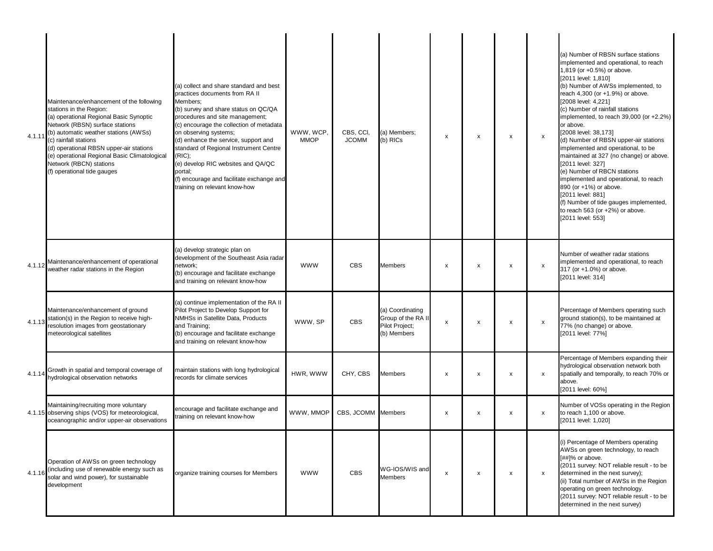| 4.1.11 | Maintenance/enhancement of the following<br>stations in the Region:<br>(a) operational Regional Basic Synoptic<br>Network (RBSN) surface stations<br>(b) automatic weather stations (AWSs)<br>(c) rainfall stations<br>(d) operational RBSN upper-air stations<br>(e) operational Regional Basic Climatological<br>Network (RBCN) stations<br>(f) operational tide gauges | (a) collect and share standard and best<br>practices documents from RA II<br>Members:<br>(b) survey and share status on QC/QA<br>procedures and site management;<br>(c) encourage the collection of metadata<br>on observing systems;<br>(d) enhance the service, support and<br>standard of Regional Instrument Centre<br>(RIC);<br>(e) develop RIC websites and QA/QC<br>portal;<br>(f) encourage and facilitate exchange and<br>training on relevant know-how | WWW. WCP.<br><b>MMOP</b> | CBS, CCI,<br><b>JCOMM</b> | (a) Members:<br>(b) RICs                                                | x | х                         | x            | $\boldsymbol{\mathsf{x}}$ | (a) Number of RBSN surface stations<br>implemented and operational, to reach<br>1,819 (or +0.5%) or above.<br>[2011 level: 1,810]<br>(b) Number of AWSs implemented, to<br>reach 4,300 (or +1.9%) or above.<br>[2008 level: 4,221]<br>(c) Number of rainfall stations<br>implemented, to reach $39,000$ (or $+2.2\%$ )<br>or above.<br>[2008 level: 38,173]<br>(d) Number of RBSN upper-air stations<br>implemented and operational, to be<br>maintained at 327 (no change) or above.<br>[2011 level: 327]<br>(e) Number of RBCN stations<br>implemented and operational, to reach<br>890 (or +1%) or above.<br>[2011 level: 881]<br>(f) Number of tide gauges implemented,<br>to reach 563 (or +2%) or above.<br>[2011 level: 553] |
|--------|---------------------------------------------------------------------------------------------------------------------------------------------------------------------------------------------------------------------------------------------------------------------------------------------------------------------------------------------------------------------------|------------------------------------------------------------------------------------------------------------------------------------------------------------------------------------------------------------------------------------------------------------------------------------------------------------------------------------------------------------------------------------------------------------------------------------------------------------------|--------------------------|---------------------------|-------------------------------------------------------------------------|---|---------------------------|--------------|---------------------------|-------------------------------------------------------------------------------------------------------------------------------------------------------------------------------------------------------------------------------------------------------------------------------------------------------------------------------------------------------------------------------------------------------------------------------------------------------------------------------------------------------------------------------------------------------------------------------------------------------------------------------------------------------------------------------------------------------------------------------------|
| 4.1.12 | Maintenance/enhancement of operational<br>weather radar stations in the Region                                                                                                                                                                                                                                                                                            | (a) develop strategic plan on<br>development of the Southeast Asia radar<br>network;<br>(b) encourage and facilitate exchange<br>and training on relevant know-how                                                                                                                                                                                                                                                                                               | <b>WWW</b>               | <b>CBS</b>                | Members                                                                 | x | x                         | x            | $\boldsymbol{\mathsf{x}}$ | Number of weather radar stations<br>implemented and operational, to reach<br>317 (or +1.0%) or above.<br>[2011 level: 314]                                                                                                                                                                                                                                                                                                                                                                                                                                                                                                                                                                                                          |
| 4.1.13 | Maintenance/enhancement of ground<br>station(s) in the Region to receive high-<br>resolution images from geostationary<br>meteorological satellites                                                                                                                                                                                                                       | (a) continue implementation of the RA II<br>Pilot Project to Develop Support for<br>NMHSs in Satellite Data, Products<br>and Training;<br>(b) encourage and facilitate exchange<br>and training on relevant know-how                                                                                                                                                                                                                                             | WWW, SP                  | <b>CBS</b>                | (a) Coordinating<br>Group of the RA II<br>Pilot Project;<br>(b) Members | x | х                         | x            | $\pmb{\times}$            | Percentage of Members operating such<br>ground station(s), to be maintained at<br>77% (no change) or above.<br>[2011 level: 77%]                                                                                                                                                                                                                                                                                                                                                                                                                                                                                                                                                                                                    |
| 4.1.14 | Growth in spatial and temporal coverage of<br>hydrological observation networks                                                                                                                                                                                                                                                                                           | maintain stations with long hydrological<br>records for climate services                                                                                                                                                                                                                                                                                                                                                                                         | HWR, WWW                 | CHY, CBS                  | <b>Members</b>                                                          | x | x                         | x            | $\boldsymbol{\mathsf{x}}$ | Percentage of Members expanding their<br>hydrological observation network both<br>spatially and temporally, to reach 70% or<br>above.<br>[2011 level: 60%]                                                                                                                                                                                                                                                                                                                                                                                                                                                                                                                                                                          |
|        | Maintaining/recruiting more voluntary<br>4.1.15 observing ships (VOS) for meteorological,<br>oceanographic and/or upper-air observations                                                                                                                                                                                                                                  | encourage and facilitate exchange and<br>training on relevant know-how                                                                                                                                                                                                                                                                                                                                                                                           | WWW, MMOP                | CBS, JCOMM Members        |                                                                         | x | х                         | x            | $\boldsymbol{\mathsf{x}}$ | Number of VOSs operating in the Region<br>to reach 1,100 or above.<br>[2011 level: 1,020]                                                                                                                                                                                                                                                                                                                                                                                                                                                                                                                                                                                                                                           |
| 4.1.16 | Operation of AWSs on green technology<br>(including use of renewable energy such as<br>solar and wind power), for sustainable<br>development                                                                                                                                                                                                                              | organize training courses for Members                                                                                                                                                                                                                                                                                                                                                                                                                            | <b>WWW</b>               | <b>CBS</b>                | WG-IOS/WIS and<br><b>Members</b>                                        | x | $\boldsymbol{\mathsf{x}}$ | $\mathsf{x}$ | $\mathsf{x}$              | (i) Percentage of Members operating<br>AWSs on green technology, to reach<br>[##]% or above.<br>(2011 survey: NOT reliable result - to be<br>determined in the next survey);<br>(ii) Total number of AWSs in the Region<br>operating on green technology.<br>(2011 survey: NOT reliable result - to be<br>determined in the next survey)                                                                                                                                                                                                                                                                                                                                                                                            |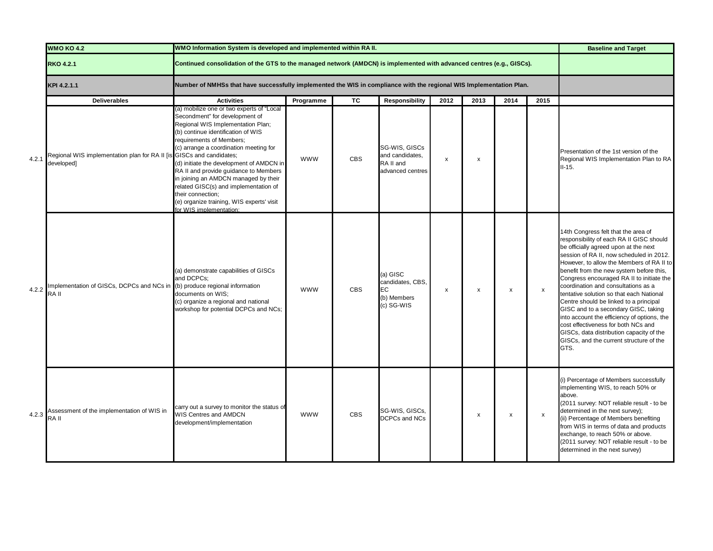|       | <b>WMO KO 4.2</b>                                                                  | WMO Information System is developed and implemented within RA II.                                                                                                                                                                                                                                                                                                                                                                                                                               |            |            |                                                                   |                           |                           |      |      | <b>Baseline and Target</b>                                                                                                                                                                                                                                                                                                                                                                                                                                                                                                                                                                                                                                           |
|-------|------------------------------------------------------------------------------------|-------------------------------------------------------------------------------------------------------------------------------------------------------------------------------------------------------------------------------------------------------------------------------------------------------------------------------------------------------------------------------------------------------------------------------------------------------------------------------------------------|------------|------------|-------------------------------------------------------------------|---------------------------|---------------------------|------|------|----------------------------------------------------------------------------------------------------------------------------------------------------------------------------------------------------------------------------------------------------------------------------------------------------------------------------------------------------------------------------------------------------------------------------------------------------------------------------------------------------------------------------------------------------------------------------------------------------------------------------------------------------------------------|
|       | <b>RKO 4.2.1</b>                                                                   | Continued consolidation of the GTS to the managed network (AMDCN) is implemented with advanced centres (e.g., GISCs).                                                                                                                                                                                                                                                                                                                                                                           |            |            |                                                                   |                           |                           |      |      |                                                                                                                                                                                                                                                                                                                                                                                                                                                                                                                                                                                                                                                                      |
|       | KPI 4.2.1.1                                                                        | Number of NMHSs that have successfully implemented the WIS in compliance with the regional WIS Implementation Plan.                                                                                                                                                                                                                                                                                                                                                                             |            |            |                                                                   |                           |                           |      |      |                                                                                                                                                                                                                                                                                                                                                                                                                                                                                                                                                                                                                                                                      |
|       | <b>Deliverables</b>                                                                | <b>Activities</b>                                                                                                                                                                                                                                                                                                                                                                                                                                                                               | Programme  | ТC         | <b>Responsibility</b>                                             | 2012                      | 2013                      | 2014 | 2015 |                                                                                                                                                                                                                                                                                                                                                                                                                                                                                                                                                                                                                                                                      |
| 4.2.1 | Regional WIS implementation plan for RA II [is GISCs and candidates;<br>developed] | (a) mobilize one or two experts of "Local<br>Secondment" for development of<br>Regional WIS Implementation Plan;<br>(b) continue identification of WIS<br>requirements of Members;<br>(c) arrange a coordination meeting for<br>(d) initiate the development of AMDCN in<br>RA II and provide guidance to Members<br>in joining an AMDCN managed by their<br>related GISC(s) and implementation of<br>their connection;<br>(e) organize training, WIS experts' visit<br>for WIS implementation: | <b>WWW</b> | <b>CBS</b> | SG-WIS, GISCs<br>and candidates,<br>RA II and<br>advanced centres | $\pmb{\times}$            | $\boldsymbol{\mathsf{x}}$ |      |      | Presentation of the 1st version of the<br>Regional WIS Implementation Plan to RA<br>$II-15.$                                                                                                                                                                                                                                                                                                                                                                                                                                                                                                                                                                         |
| 4.2.2 | mplementation of GISCs, DCPCs and NCs in<br>RA II                                  | (a) demonstrate capabilities of GISCs<br>and DCPCs;<br>(b) produce regional information<br>documents on WIS:<br>(c) organize a regional and national<br>workshop for potential DCPCs and NCs;                                                                                                                                                                                                                                                                                                   | <b>WWW</b> | <b>CBS</b> | (a) GISC<br>candidates, CBS,<br>EC<br>(b) Members<br>(c) SG-WIS   | $\boldsymbol{\mathsf{x}}$ | $\pmb{\times}$            | X    | x    | 14th Congress felt that the area of<br>responsibility of each RA II GISC should<br>be officially agreed upon at the next<br>session of RA II, now scheduled in 2012.<br>However, to allow the Members of RA II to<br>benefit from the new system before this,<br>Congress encouraged RA II to initiate the<br>coordination and consultations as a<br>tentative solution so that each National<br>Centre should be linked to a principal<br>GISC and to a secondary GISC, taking<br>into account the efficiency of options, the<br>cost effectiveness for both NCs and<br>GISCs, data distribution capacity of the<br>GISCs, and the current structure of the<br>GTS. |
| 4.2.3 | Assessment of the implementation of WIS in<br>RA II                                | carry out a survey to monitor the status of<br>WIS Centres and AMDCN<br>development/implementation                                                                                                                                                                                                                                                                                                                                                                                              | <b>WWW</b> | <b>CBS</b> | SG-WIS, GISCs,<br>DCPCs and NCs                                   |                           | $\boldsymbol{\mathsf{x}}$ | X    | x    | (i) Percentage of Members successfully<br>implementing WIS, to reach 50% or<br>above.<br>(2011 survey: NOT reliable result - to be<br>determined in the next survey);<br>(ii) Percentage of Members benefiting<br>from WIS in terms of data and products<br>exchange, to reach 50% or above.<br>(2011 survey: NOT reliable result - to be<br>determined in the next survey)                                                                                                                                                                                                                                                                                          |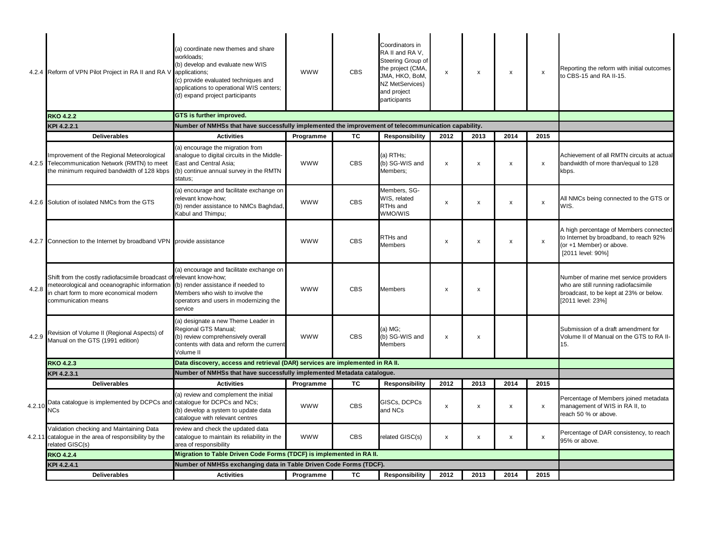|        | 4.2.4 Reform of VPN Pilot Project in RA II and RA V                                                                                                                                    | (a) coordinate new themes and share<br>workloads;<br>(b) develop and evaluate new WIS<br>applications;<br>(c) provide evaluated techniques and<br>applications to operational WIS centers;<br>(d) expand project participants | <b>WWW</b> | <b>CBS</b> | Coordinators in<br>RA II and RA V.<br>Steering Group of<br>the project (CMA,<br>JMA, HKO, BoM,<br>NZ MetServices)<br>and project<br>participants | х    | x                         | $\mathsf{x}$ | $\boldsymbol{\mathsf{x}}$ | Reporting the reform with initial outcomes<br>to CBS-15 and RA II-15.                                                                         |
|--------|----------------------------------------------------------------------------------------------------------------------------------------------------------------------------------------|-------------------------------------------------------------------------------------------------------------------------------------------------------------------------------------------------------------------------------|------------|------------|--------------------------------------------------------------------------------------------------------------------------------------------------|------|---------------------------|--------------|---------------------------|-----------------------------------------------------------------------------------------------------------------------------------------------|
|        | <b>RKO 4.2.2</b>                                                                                                                                                                       | GTS is further improved.                                                                                                                                                                                                      |            |            |                                                                                                                                                  |      |                           |              |                           |                                                                                                                                               |
|        | KPI 4.2.2.1                                                                                                                                                                            | Number of NMHSs that have successfully implemented the improvement of telecommunication capability.                                                                                                                           |            |            |                                                                                                                                                  |      |                           |              |                           |                                                                                                                                               |
|        | <b>Deliverables</b>                                                                                                                                                                    | <b>Activities</b>                                                                                                                                                                                                             | Programme  | TC         | <b>Responsibility</b>                                                                                                                            | 2012 | 2013                      | 2014         | 2015                      |                                                                                                                                               |
|        | Improvement of the Regional Meteorological<br>4.2.5 Telecommunication Network (RMTN) to meet<br>the minimum required bandwidth of 128 kbps                                             | (a) encourage the migration from<br>analogue to digital circuits in the Middle-<br>East and Central Asia;<br>(b) continue annual survey in the RMTN<br>status;                                                                | <b>WWW</b> | <b>CBS</b> | (a) RTHs;<br>(b) SG-WIS and<br>Members;                                                                                                          | x    | $\boldsymbol{\mathsf{x}}$ | $\mathsf{x}$ | $\boldsymbol{\mathsf{x}}$ | Achievement of all RMTN circuits at actual<br>bandwidth of more than/equal to 128<br>kbps.                                                    |
|        | 4.2.6 Solution of isolated NMCs from the GTS                                                                                                                                           | (a) encourage and facilitate exchange on<br>relevant know-how;<br>(b) render assistance to NMCs Baghdad,<br>Kabul and Thimpu;                                                                                                 | <b>WWW</b> | <b>CBS</b> | Members, SG-<br>WIS, related<br>RTHs and<br>WMO/WIS                                                                                              | x    | X                         | x            | $\boldsymbol{\mathsf{x}}$ | All NMCs being connected to the GTS or<br>WIS.                                                                                                |
|        | 4.2.7 Connection to the Internet by broadband VPN provide assistance                                                                                                                   |                                                                                                                                                                                                                               | <b>WWW</b> | <b>CBS</b> | RTHs and<br><b>Members</b>                                                                                                                       | x    | х                         | X            | $\pmb{\times}$            | A high percentage of Members connected<br>to Internet by broadband, to reach 92%<br>(or +1 Member) or above.<br>[2011 level: 90%]             |
| 4.2.8  | Shift from the costly radiofacsimile broadcast of relevant know-how;<br>meteorological and oceanographic information<br>in chart form to more economical modern<br>communication means | (a) encourage and facilitate exchange on<br>(b) render assistance if needed to<br>Members who wish to involve the<br>operators and users in modernizing the<br>service                                                        | <b>WWW</b> | <b>CBS</b> | <b>Members</b>                                                                                                                                   | x    | $\pmb{\times}$            |              |                           | Number of marine met service providers<br>who are still running radiofacsimile<br>broadcast, to be kept at 23% or below.<br>[2011 level: 23%] |
| 4.2.9  | Revision of Volume II (Regional Aspects) of<br>Manual on the GTS (1991 edition)                                                                                                        | (a) designate a new Theme Leader in<br>Regional GTS Manual;<br>(b) review comprehensively overall<br>contents with data and reform the current<br>Volume II                                                                   | <b>WWW</b> | <b>CBS</b> | (a) MG;<br>(b) SG-WIS and<br><b>Members</b>                                                                                                      | x    | x                         |              |                           | Submission of a draft amendment for<br>Volume II of Manual on the GTS to RA II-<br>15.                                                        |
|        | <b>RKO 4.2.3</b>                                                                                                                                                                       | Data discovery, access and retrieval (DAR) services are implemented in RA II.                                                                                                                                                 |            |            |                                                                                                                                                  |      |                           |              |                           |                                                                                                                                               |
|        | KPI 4.2.3.1                                                                                                                                                                            | Number of NMHSs that have successfully implemented Metadata catalogue.                                                                                                                                                        |            |            |                                                                                                                                                  |      |                           |              |                           |                                                                                                                                               |
|        | <b>Deliverables</b>                                                                                                                                                                    | <b>Activities</b>                                                                                                                                                                                                             | Programme  | ТC         | <b>Responsibility</b>                                                                                                                            | 2012 | 2013                      | 2014         | 2015                      |                                                                                                                                               |
| 4.2.10 | Data catalogue is implemented by DCPCs and catalogue for DCPCs and NCs;<br><b>NCs</b>                                                                                                  | (a) review and complement the initial<br>(b) develop a system to update data<br>catalogue with relevant centres                                                                                                               | <b>WWW</b> | <b>CBS</b> | GISCs, DCPCs<br>and NCs                                                                                                                          | x    | х                         | x            | $\pmb{\times}$            | Percentage of Members joined metadata<br>management of WIS in RA II, to<br>reach 50 % or above.                                               |
|        | Validation checking and Maintaining Data<br>4.2.11 catalogue in the area of responsibility by the<br>related GISC(s)                                                                   | review and check the updated data<br>catalogue to maintain its reliability in the<br>area of responsibility                                                                                                                   | <b>WWW</b> | <b>CBS</b> | related GISC(s)                                                                                                                                  | x    | $\pmb{\mathsf{x}}$        | x            | $\pmb{\times}$            | Percentage of DAR consistency, to reach<br>95% or above.                                                                                      |
|        | <b>RKO 4.2.4</b>                                                                                                                                                                       | Migration to Table Driven Code Forms (TDCF) is implemented in RA II.                                                                                                                                                          |            |            |                                                                                                                                                  |      |                           |              |                           |                                                                                                                                               |
|        | KPI 4.2.4.1                                                                                                                                                                            | Number of NMHSs exchanging data in Table Driven Code Forms (TDCF).                                                                                                                                                            |            |            |                                                                                                                                                  |      |                           |              |                           |                                                                                                                                               |
|        | <b>Deliverables</b>                                                                                                                                                                    | <b>Activities</b>                                                                                                                                                                                                             | Programme  | ТC         | <b>Responsibility</b>                                                                                                                            | 2012 | 2013                      | 2014         | 2015                      |                                                                                                                                               |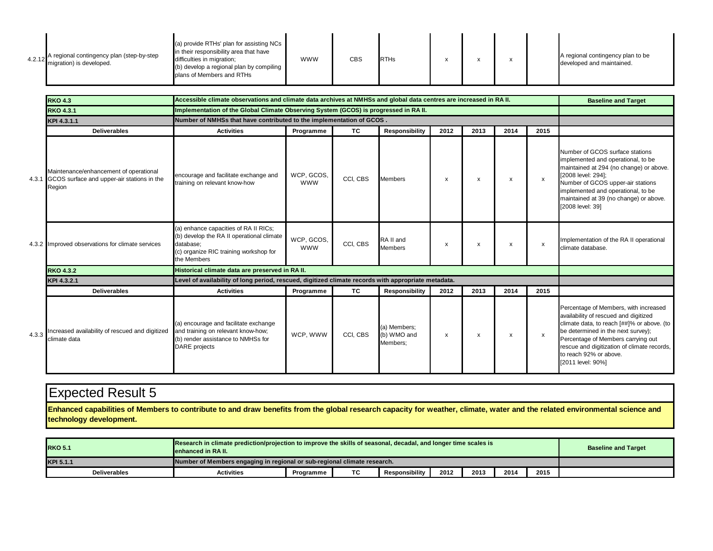| 4.2.12 | A regional contingency plan (step-by-step<br>migration) is developed. | (a) provide RTHs' plan for assisting NCs<br>in their responsibility area that have<br>difficulties in migration;<br>(b) develop a regional plan by compiling<br>plans of Members and RTHs | <b>WWW</b> | <b>CBS</b> | <b>RTHs</b> |  |  |  |  | A regional contingency plan to be<br>developed and maintained. |
|--------|-----------------------------------------------------------------------|-------------------------------------------------------------------------------------------------------------------------------------------------------------------------------------------|------------|------------|-------------|--|--|--|--|----------------------------------------------------------------|
|--------|-----------------------------------------------------------------------|-------------------------------------------------------------------------------------------------------------------------------------------------------------------------------------------|------------|------------|-------------|--|--|--|--|----------------------------------------------------------------|

|       | <b>RKO 4.3</b>                                                                                       | Accessible climate observations and climate data archives at NMHSs and global data centres are increased in RA II.                                       |                          |           |                                         |                           |      |                           |                           | <b>Baseline and Target</b>                                                                                                                                                                                                                                                                             |
|-------|------------------------------------------------------------------------------------------------------|----------------------------------------------------------------------------------------------------------------------------------------------------------|--------------------------|-----------|-----------------------------------------|---------------------------|------|---------------------------|---------------------------|--------------------------------------------------------------------------------------------------------------------------------------------------------------------------------------------------------------------------------------------------------------------------------------------------------|
|       | <b>RKO 4.3.1</b>                                                                                     | Implementation of the Global Climate Observing System (GCOS) is progressed in RA II.                                                                     |                          |           |                                         |                           |      |                           |                           |                                                                                                                                                                                                                                                                                                        |
|       | KPI 4.3.1.1                                                                                          | Number of NMHSs that have contributed to the implementation of GCOS.                                                                                     |                          |           |                                         |                           |      |                           |                           |                                                                                                                                                                                                                                                                                                        |
|       | <b>Deliverables</b>                                                                                  | <b>Activities</b>                                                                                                                                        | Programme                | <b>TC</b> | <b>Responsibility</b>                   | 2012                      | 2013 | 2014                      | 2015                      |                                                                                                                                                                                                                                                                                                        |
|       | Maintenance/enhancement of operational<br>4.3.1 GCOS surface and upper-air stations in the<br>Region | encourage and facilitate exchange and<br>training on relevant know-how                                                                                   | WCP, GCOS,<br><b>WWW</b> | CCI, CBS  | <b>Members</b>                          | X                         | x    | $\boldsymbol{\mathsf{x}}$ | $\mathsf{x}$              | Number of GCOS surface stations<br>implemented and operational, to be<br>maintained at 294 (no change) or above.<br>[2008 level: 294];<br>Number of GCOS upper-air stations<br>implemented and operational, to be<br>maintained at 39 (no change) or above.<br>[2008 level: 39]                        |
|       | 4.3.2 Improved observations for climate services                                                     | (a) enhance capacities of RA II RICs;<br>(b) develop the RA II operational climate<br>database:<br>(c) organize RIC training workshop for<br>the Members | WCP, GCOS,<br><b>WWW</b> | CCI, CBS  | RA II and<br><b>Members</b>             | $\boldsymbol{\mathsf{x}}$ | x    | $\boldsymbol{\mathsf{x}}$ | $\boldsymbol{\mathsf{x}}$ | Implementation of the RA II operational<br>climate database.                                                                                                                                                                                                                                           |
|       | <b>RKO 4.3.2</b>                                                                                     | Historical climate data are preserved in RA II.                                                                                                          |                          |           |                                         |                           |      |                           |                           |                                                                                                                                                                                                                                                                                                        |
|       | KPI 4.3.2.1                                                                                          | Level of availability of long period, rescued, digitized climate records with appropriate metadata.                                                      |                          |           |                                         |                           |      |                           |                           |                                                                                                                                                                                                                                                                                                        |
|       | <b>Deliverables</b>                                                                                  | <b>Activities</b>                                                                                                                                        | Programme                | TC.       | <b>Responsibility</b>                   | 2012                      | 2013 | 2014                      | 2015                      |                                                                                                                                                                                                                                                                                                        |
| 4.3.3 | Increased availability of rescued and digitized<br>climate data                                      | (a) encourage and facilitate exchange<br>and training on relevant know-how;<br>(b) render assistance to NMHSs for<br><b>DARE</b> projects                | WCP. WWW                 | CCI, CBS  | (a) Members;<br>(b) WMO and<br>Members: | х                         | x    | $\boldsymbol{\mathsf{x}}$ | x                         | Percentage of Members, with increased<br>availability of rescued and digitized<br>climate data, to reach [##]% or above. (to<br>be determined in the next survey);<br>Percentage of Members carrying out<br>rescue and digitization of climate records,<br>to reach 92% or above.<br>[2011 level: 90%] |

 **Enhanced capabilities of Members to contribute to and draw benefits from the global research capacity for weather, climate, water and the related environmental science and technology development.**

| Research in climate prediction/projection to improve the skills of seasonal, decadal, and longer time scales is<br><b>RKO 5.1</b><br>lenhanced in RA II. |                   |           |    |                       |      |      |      | <b>Baseline and Target</b> |  |
|----------------------------------------------------------------------------------------------------------------------------------------------------------|-------------------|-----------|----|-----------------------|------|------|------|----------------------------|--|
| Number of Members engaging in regional or sub-regional climate research.<br>KPI 5.1.1                                                                    |                   |           |    |                       |      |      |      |                            |  |
| <b>Deliverables</b>                                                                                                                                      | <b>Activities</b> | Programme | ТC | <b>Responsibility</b> | 2012 | 2013 | 2014 | 2015                       |  |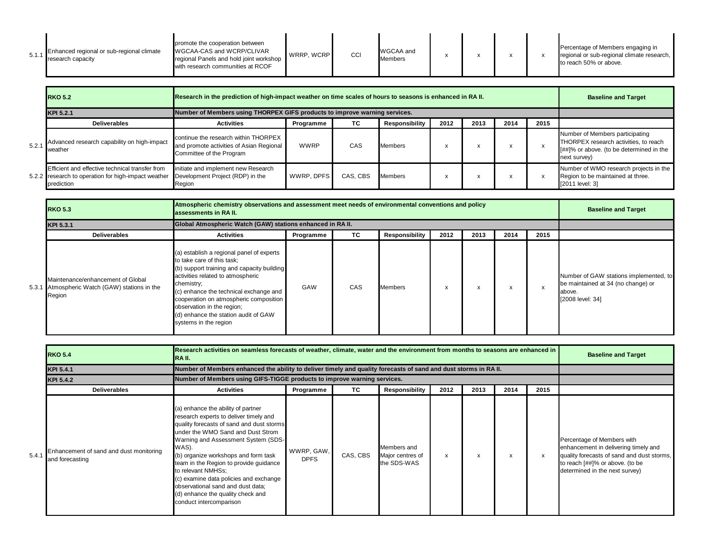| 5.1. | Enhanced regional or sub-regional climate<br>research capacity | promote the cooperation between<br>WGCAA-CAS and WCRP/CLIVAR<br>regional Panels and hold joint workshop<br>with research communities at RCOF | WRRP. WCRP | CCI | WGCAA and<br>Members |  |  |  |  | Percentage of Members engaging in<br>regional or sub-regional climate research,<br>to reach 50% or above. |
|------|----------------------------------------------------------------|----------------------------------------------------------------------------------------------------------------------------------------------|------------|-----|----------------------|--|--|--|--|-----------------------------------------------------------------------------------------------------------|
|------|----------------------------------------------------------------|----------------------------------------------------------------------------------------------------------------------------------------------|------------|-----|----------------------|--|--|--|--|-----------------------------------------------------------------------------------------------------------|

| <b>RKO 5.2</b>                                                                                                       |                                                                                                              | Research in the prediction of high-impact weather on time scales of hours to seasons is enhanced in RA II. |          |                |      |      |      |      |                                                                                                                                      |  |  |
|----------------------------------------------------------------------------------------------------------------------|--------------------------------------------------------------------------------------------------------------|------------------------------------------------------------------------------------------------------------|----------|----------------|------|------|------|------|--------------------------------------------------------------------------------------------------------------------------------------|--|--|
| KPI 5.2.1                                                                                                            | Number of Members using THORPEX GIFS products to improve warning services.                                   |                                                                                                            |          |                |      |      |      |      |                                                                                                                                      |  |  |
| Deliverables                                                                                                         | <b>Activities</b>                                                                                            | Programme                                                                                                  | TC.      | Responsibility | 2012 | 2013 | 2014 | 2015 |                                                                                                                                      |  |  |
| 5.2.1 Advanced research capability on high-impact<br><b>I</b> weather                                                | continue the research within THORPEX<br>and promote activities of Asian Regional<br>Committee of the Program | <b>WWRP</b>                                                                                                | CAS      | <b>Members</b> |      |      |      |      | Number of Members participating<br>THORPEX research activities, to reach<br>[##]% or above. (to be determined in the<br>next survey) |  |  |
| Efficient and effective technical transfer from<br>5.2.2 research to operation for high-impact weather<br>prediction | initiate and implement new Research<br>Development Project (RDP) in the<br>Region                            | WWRP. DPFS                                                                                                 | CAS, CBS | <b>Members</b> | A    |      |      |      | Number of WMO research projects in the<br>Region to be maintained at three.<br>[2011 level: 3]                                       |  |  |

| <b>RKO 5.3</b>                                                                               | Atmospheric chemistry observations and assessment meet needs of environmental conventions and policy<br>assessments in RA II.                                                                                                                                                                                                                               |           |     |                       |                           |           |      |      | <b>Baseline and Target</b>                                                                                 |
|----------------------------------------------------------------------------------------------|-------------------------------------------------------------------------------------------------------------------------------------------------------------------------------------------------------------------------------------------------------------------------------------------------------------------------------------------------------------|-----------|-----|-----------------------|---------------------------|-----------|------|------|------------------------------------------------------------------------------------------------------------|
| KPI 5.3.1                                                                                    | Global Atmospheric Watch (GAW) stations enhanced in RA II.                                                                                                                                                                                                                                                                                                  |           |     |                       |                           |           |      |      |                                                                                                            |
| <b>Deliverables</b>                                                                          | <b>Activities</b>                                                                                                                                                                                                                                                                                                                                           | Programme | TC. | <b>Responsibility</b> | 2012                      | 2013      | 2014 | 2015 |                                                                                                            |
| Maintenance/enhancement of Global<br>5.3.1 Atmospheric Watch (GAW) stations in the<br>Region | (a) establish a regional panel of experts<br>to take care of this task;<br>(b) support training and capacity building<br>activities related to atmospheric<br>chemistry;<br>(c) enhance the technical exchange and<br>cooperation on atmospheric composition<br>observation in the region;<br>(d) enhance the station audit of GAW<br>systems in the region | GAW       | CAS | <b>Members</b>        | $\boldsymbol{\mathsf{x}}$ | $\lambda$ | x.   |      | Number of GAW stations implemented, to<br>be maintained at 34 (no change) or<br>above.<br>[2008 level: 34] |

|       | <b>RKO 5.4</b>                                             | Research activities on seamless forecasts of weather, climate, water and the environment from months to seasons are enhanced in<br>RA II.                                                                                                                                                                                                                                                                                                                             |                           |          |                                                |      |      |      |              | <b>Baseline and Target</b>                                                                                                                                                            |
|-------|------------------------------------------------------------|-----------------------------------------------------------------------------------------------------------------------------------------------------------------------------------------------------------------------------------------------------------------------------------------------------------------------------------------------------------------------------------------------------------------------------------------------------------------------|---------------------------|----------|------------------------------------------------|------|------|------|--------------|---------------------------------------------------------------------------------------------------------------------------------------------------------------------------------------|
|       | <b>KPI 5.4.1</b>                                           | Number of Members enhanced the ability to deliver timely and quality forecasts of sand and dust storms in RA II.                                                                                                                                                                                                                                                                                                                                                      |                           |          |                                                |      |      |      |              |                                                                                                                                                                                       |
|       | KPI 5.4.2                                                  | Number of Members using GIFS-TIGGE products to improve warning services.                                                                                                                                                                                                                                                                                                                                                                                              |                           |          |                                                |      |      |      |              |                                                                                                                                                                                       |
|       | <b>Deliverables</b>                                        | <b>Activities</b>                                                                                                                                                                                                                                                                                                                                                                                                                                                     | Programme                 | TC.      | Responsibility                                 | 2012 | 2013 | 2014 | 2015         |                                                                                                                                                                                       |
| 5.4.1 | Enhancement of sand and dust monitoring<br>and forecasting | (a) enhance the ability of partner<br>research experts to deliver timely and<br>quality forecasts of sand and dust storms<br>under the WMO Sand and Dust Strom<br>Warning and Assessment System (SDS-<br>WAS).<br>(b) organize workshops and form task<br>team in the Region to provide guidance<br>to relevant NMHSs;<br>(c) examine data policies and exchange<br>observational sand and dust data;<br>(d) enhance the quality check and<br>conduct intercomparison | WWRP, GAW.<br><b>DPFS</b> | CAS, CBS | Members and<br>Major centres of<br>the SDS-WAS | X    | X    | x    | $\mathsf{x}$ | Percentage of Members with<br>enhancement in delivering timely and<br>quality forecasts of sand and dust storms,<br>to reach [##]% or above. (to be<br>determined in the next survey) |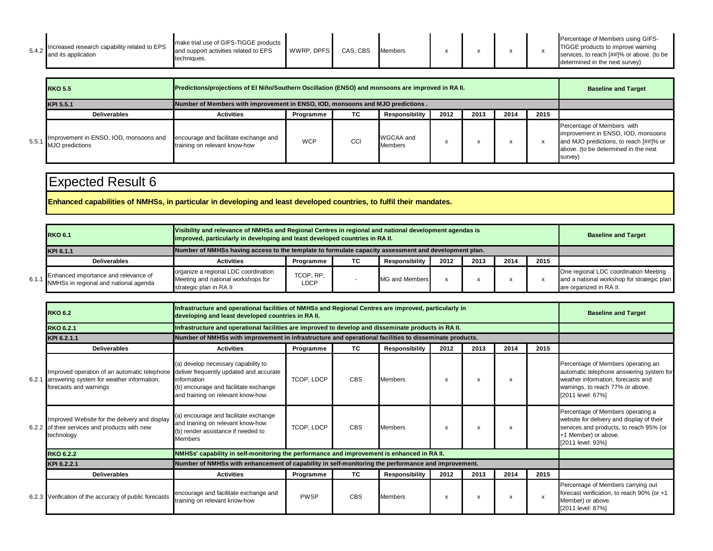| 5.4.2 | Increased research capability related to EPS<br>and its application | make trial use of GIFS-TIGGE products  <br>and support activities related to EPS<br>techniques. | WWRP. DPFS | CAS, CBS | <b>Members</b> |  |  |  |  | Percentage of Members using GIFS-<br>TIGGE products to improve warning<br>services, to reach [##]% or above. (to be<br>determined in the next survey) |
|-------|---------------------------------------------------------------------|-------------------------------------------------------------------------------------------------|------------|----------|----------------|--|--|--|--|-------------------------------------------------------------------------------------------------------------------------------------------------------|
|-------|---------------------------------------------------------------------|-------------------------------------------------------------------------------------------------|------------|----------|----------------|--|--|--|--|-------------------------------------------------------------------------------------------------------------------------------------------------------|

|       | <b>RKO 5.5</b>                                                  | Predictions/projections of El Niño/Southern Oscillation (ENSO) and monsoons are improved in RA II. |            |     |                             |      |      |      |      | <b>Baseline and Target</b>                                                                                                                                    |
|-------|-----------------------------------------------------------------|----------------------------------------------------------------------------------------------------|------------|-----|-----------------------------|------|------|------|------|---------------------------------------------------------------------------------------------------------------------------------------------------------------|
|       | KPI 5.5.1                                                       | Number of Members with improvement in ENSO, IOD, monsoons and MJO predictions.                     |            |     |                             |      |      |      |      |                                                                                                                                                               |
|       | <b>Deliverables</b>                                             | <b>Activities</b>                                                                                  | Programme  | TC. | Responsibility              | 2012 | 2013 | 2014 | 2015 |                                                                                                                                                               |
| 5.5.1 | mprovement in ENSO, IOD, monsoons and<br><b>MJO</b> predictions | encourage and facilitate exchange and<br>training on relevant know-how                             | <b>WCP</b> | CCI | WGCAA and<br><b>Members</b> |      |      |      |      | Percentage of Members with<br>improvement in ENSO, IOD, monsoons<br>and MJO predictions, to reach [##]% or<br>above. (to be determined in the next<br>survey) |

**Enhanced capabilities of NMHSs, in particular in developing and least developed countries, to fulfil their mandates.**

| <b>RKO 6.1</b>                                                                      | Visibility and relevance of NMHSs and Regional Centres in regional and national development agendas is<br>improved, particularly in developing and least developed countries in RA II. |                          |    |                |      |      |      |      | <b>Baseline and Target</b>                                                                                     |
|-------------------------------------------------------------------------------------|----------------------------------------------------------------------------------------------------------------------------------------------------------------------------------------|--------------------------|----|----------------|------|------|------|------|----------------------------------------------------------------------------------------------------------------|
| KPI 6.1.1                                                                           | Number of NMHSs having access to the template to formulate capacity assessment and development plan.                                                                                   |                          |    |                |      |      |      |      |                                                                                                                |
| <b>Deliverables</b>                                                                 | <b>Activities</b>                                                                                                                                                                      | Programme                | ТC | Responsibility | 2012 | 2013 | 2014 | 2015 |                                                                                                                |
| Enhanced importance and relevance of<br>6.1.1 NMHSs in regional and national agenda | organize a regional LDC coordination<br>Meeting and national workshops for<br>strategic plan in RA II                                                                                  | TCOP, RP.<br><b>LDCP</b> |    | MG and Members |      |      |      |      | One regional LDC coordination Meeting<br>and a national workshop for strategic plan<br>are organized in RA II. |

| <b>RKO 6.2</b>                                                                                                            |                                                                                                                                                                             | Infrastructure and operational facilities of NMHSs and Regional Centres are improved, particularly in<br>developing and least developed countries in RA II. |           |                       |      |                           |      |                           |                                                                                                                                                                               |  |  |  |
|---------------------------------------------------------------------------------------------------------------------------|-----------------------------------------------------------------------------------------------------------------------------------------------------------------------------|-------------------------------------------------------------------------------------------------------------------------------------------------------------|-----------|-----------------------|------|---------------------------|------|---------------------------|-------------------------------------------------------------------------------------------------------------------------------------------------------------------------------|--|--|--|
| <b>RKO 6.2.1</b>                                                                                                          | Infrastructure and operational facilities are improved to develop and disseminate products in RA II.                                                                        |                                                                                                                                                             |           |                       |      |                           |      |                           |                                                                                                                                                                               |  |  |  |
| KPI 6.2.1.1                                                                                                               | Number of NMHSs with improvement in infrastructure and operational facilities to disseminate products.                                                                      |                                                                                                                                                             |           |                       |      |                           |      |                           |                                                                                                                                                                               |  |  |  |
| <b>Deliverables</b>                                                                                                       | <b>Activities</b>                                                                                                                                                           | Programme                                                                                                                                                   | <b>TC</b> | Responsibility        | 2012 | 2013                      | 2014 | 2015                      |                                                                                                                                                                               |  |  |  |
| Improved operation of an automatic telephone<br>6.2.1 answering system for weather information,<br>forecasts and warnings | (a) develop necessary capability to<br>deliver frequently updated and accurate<br>information<br>(b) encourage and facilitate exchange<br>and training on relevant know-how | TCOP, LDCP                                                                                                                                                  | CBS       | <b>Members</b>        | X    | $\boldsymbol{\mathsf{x}}$ |      |                           | Percentage of Members operating an<br>automatic telephone answering system for<br>weather information, forecasts and<br>warnings, to reach 77% or above.<br>[2011 level: 67%] |  |  |  |
| Improved Website for the delivery and display<br>6.2.2 of their services and products with new<br>technology              | (a) encourage and facilitate exchange<br>and training on relevant know-how<br>(b) render assistance if needed to<br><b>Members</b>                                          | TCOP, LDCP                                                                                                                                                  | CBS       | <b>Members</b>        | X    | X                         |      |                           | Percentage of Members operating a<br>website for delivery and display of their<br>services and products, to reach 95% (or<br>+1 Member) or above.<br>[2011 level: 93%]        |  |  |  |
| <b>RKO 6.2.2</b>                                                                                                          | NMHSs' capability in self-monitoring the performance and improvement is enhanced in RA II.                                                                                  |                                                                                                                                                             |           |                       |      |                           |      |                           |                                                                                                                                                                               |  |  |  |
| KPI 6.2.2.1                                                                                                               | Number of NMHSs with enhancement of capability in self-monitoring the performance and improvement.                                                                          |                                                                                                                                                             |           |                       |      |                           |      |                           |                                                                                                                                                                               |  |  |  |
| <b>Deliverables</b>                                                                                                       | <b>Activities</b>                                                                                                                                                           | Programme                                                                                                                                                   | TC.       | <b>Responsibility</b> | 2012 | 2013                      | 2014 | 2015                      |                                                                                                                                                                               |  |  |  |
| 6.2.3 Verification of the accuracy of public forecasts                                                                    | encourage and facilitate exchange and<br>training on relevant know-how                                                                                                      | <b>PWSP</b>                                                                                                                                                 | CBS       | <b>Members</b>        | X    | X                         |      | $\boldsymbol{\mathsf{x}}$ | Percentage of Members carrying out<br>forecast verification, to reach 90% (or +1<br>Member) or above.<br>[2011 level: 87%]                                                    |  |  |  |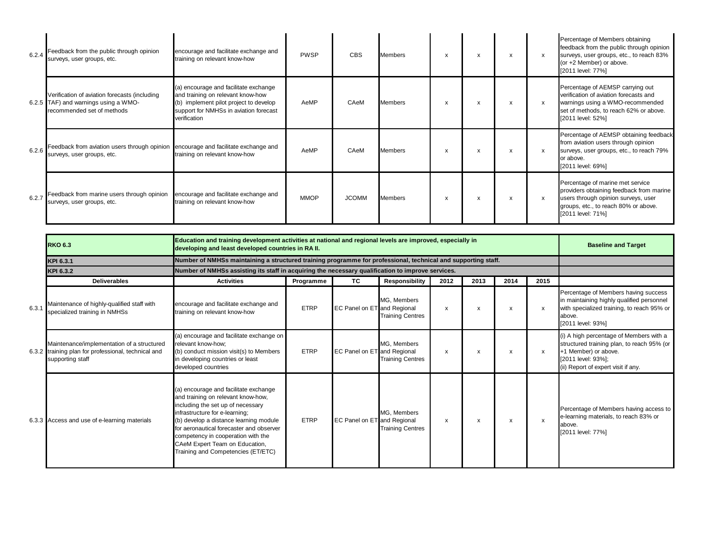| 6.2.4 | Feedback from the public through opinion<br>surveys, user groups, etc.                                              | encourage and facilitate exchange and<br>training on relevant know-how                                                                                                         | <b>PWSP</b> | <b>CBS</b>   | <b>Members</b> | x                         | X                         | X | $\mathsf{x}$              | Percentage of Members obtaining<br>feedback from the public through opinion<br>surveys, user groups, etc., to reach 83%<br>(or +2 Member) or above.<br>[2011 level: 77%]         |
|-------|---------------------------------------------------------------------------------------------------------------------|--------------------------------------------------------------------------------------------------------------------------------------------------------------------------------|-------------|--------------|----------------|---------------------------|---------------------------|---|---------------------------|----------------------------------------------------------------------------------------------------------------------------------------------------------------------------------|
|       | Verification of aviation forecasts (including<br>6.2.5 TAF) and warnings using a WMO-<br>recommended set of methods | (a) encourage and facilitate exchange<br>and training on relevant know-how<br>(b) implement pilot project to develop<br>support for NMHSs in aviation forecast<br>verification | AeMP        | CAeM         | <b>Members</b> | $\boldsymbol{\mathsf{x}}$ | X                         | X | $\mathsf{x}$              | Percentage of AEMSP carrying out<br>verification of aviation forecasts and<br>warnings using a WMO-recommended<br>set of methods, to reach 62% or above.<br>[2011 level: 52%]    |
|       | 6.2.6 Feedback from aviation users through opinion<br>surveys, user groups, etc.                                    | encourage and facilitate exchange and<br>training on relevant know-how                                                                                                         | AeMP        | CAeM         | <b>Members</b> | x                         | X                         | X | $\mathsf{x}$              | Percentage of AEMSP obtaining feedback<br>from aviation users through opinion<br>surveys, user groups, etc., to reach 79%<br>or above.<br>[2011 level: 69%]                      |
| 6.2.7 | Feedback from marine users through opinion<br>surveys, user groups, etc.                                            | encourage and facilitate exchange and<br>training on relevant know-how                                                                                                         | <b>MMOP</b> | <b>JCOMM</b> | Members        | X                         | $\boldsymbol{\mathsf{x}}$ | X | $\boldsymbol{\mathsf{x}}$ | Percentage of marine met service<br>providers obtaining feedback from marine<br>users through opinion surveys, user<br>groups, etc., to reach 80% or above.<br>[2011 level: 71%] |

|       | <b>RKO 6.3</b>                                                                                                        | Education and training development activities at national and regional levels are improved, especially in<br>developing and least developed countries in RA II.                                                                                                                                                                                        |                                                                                                   |                             |                                        |      |      |      |      | <b>Baseline and Target</b>                                                                                                                                                 |  |  |  |
|-------|-----------------------------------------------------------------------------------------------------------------------|--------------------------------------------------------------------------------------------------------------------------------------------------------------------------------------------------------------------------------------------------------------------------------------------------------------------------------------------------------|---------------------------------------------------------------------------------------------------|-----------------------------|----------------------------------------|------|------|------|------|----------------------------------------------------------------------------------------------------------------------------------------------------------------------------|--|--|--|
|       | KPI 6.3.1                                                                                                             | Number of NMHSs maintaining a structured training programme for professional, technical and supporting staff.                                                                                                                                                                                                                                          |                                                                                                   |                             |                                        |      |      |      |      |                                                                                                                                                                            |  |  |  |
|       | KPI 6.3.2                                                                                                             |                                                                                                                                                                                                                                                                                                                                                        | Number of NMHSs assisting its staff in acquiring the necessary qualification to improve services. |                             |                                        |      |      |      |      |                                                                                                                                                                            |  |  |  |
|       | <b>Deliverables</b>                                                                                                   | <b>Activities</b>                                                                                                                                                                                                                                                                                                                                      | Programme                                                                                         | <b>TC</b>                   | <b>Responsibility</b>                  | 2012 | 2013 | 2014 | 2015 |                                                                                                                                                                            |  |  |  |
| 6.3.1 | Maintenance of highly-qualified staff with<br>specialized training in NMHSs                                           | encourage and facilitate exchange and<br>training on relevant know-how                                                                                                                                                                                                                                                                                 | <b>ETRP</b>                                                                                       | EC Panel on ET and Regional | MG, Members<br><b>Training Centres</b> | x    | X    | X    | x    | Percentage of Members having success<br>in maintaining highly qualified personnel<br>with specialized training, to reach 95% or<br>above.<br>[2011 level: 93%]             |  |  |  |
|       | Maintenance/implementation of a structured<br>6.3.2 training plan for professional, technical and<br>supporting staff | (a) encourage and facilitate exchange on<br>relevant know-how;<br>(b) conduct mission visit(s) to Members<br>in developing countries or least<br>developed countries                                                                                                                                                                                   | <b>ETRP</b>                                                                                       | EC Panel on ET and Regional | MG, Members<br><b>Training Centres</b> | x    | X    | x    | X    | (i) A high percentage of Members with a<br>structured training plan, to reach 95% (or<br>+1 Member) or above.<br>[2011 level: 93%];<br>(ii) Report of expert visit if any. |  |  |  |
|       | 6.3.3 Access and use of e-learning materials                                                                          | (a) encourage and facilitate exchange<br>and training on relevant know-how,<br>including the set up of necessary<br>infrastructure for e-learning;<br>(b) develop a distance learning module<br>for aeronautical forecaster and observer<br>competency in cooperation with the<br>CAeM Expert Team on Education,<br>Training and Competencies (ET/ETC) | <b>ETRP</b>                                                                                       | EC Panel on ET and Regional | MG. Members<br><b>Training Centres</b> | x    | X    | x    | x    | Percentage of Members having access to<br>e-learning materials, to reach 83% or<br>above.<br>[2011 level: 77%]                                                             |  |  |  |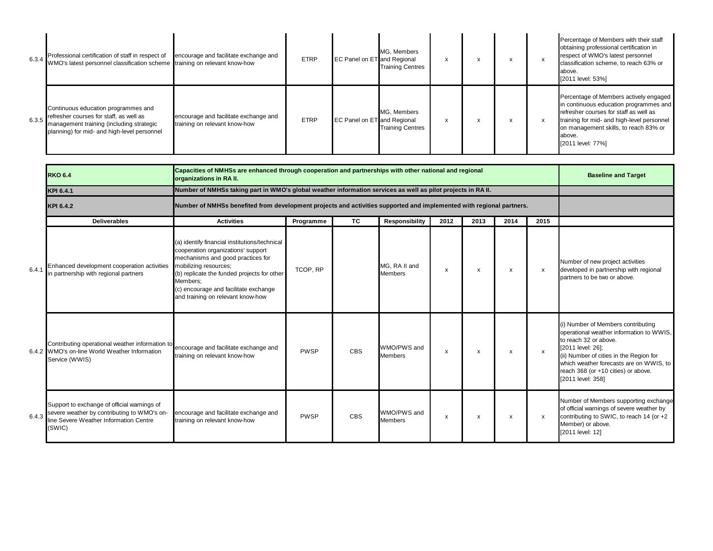| 6.3.4 Professional certification of staff in respect of<br>WMO's latest personnel classification scheme training on relevant know-how                                             | encourage and facilitate exchange and                                  | <b>ETRP</b> | EC Panel on ET and Regional        | MG, Members<br><b>Training Centres</b> | X | $\lambda$ | $\lambda$ |   | Percentage of Members with their staff<br>obtaining professional certification in<br>respect of WMO's latest personnel<br>classification scheme, to reach 63% or<br>above.<br>[2011 level: 53%]                                                  |
|-----------------------------------------------------------------------------------------------------------------------------------------------------------------------------------|------------------------------------------------------------------------|-------------|------------------------------------|----------------------------------------|---|-----------|-----------|---|--------------------------------------------------------------------------------------------------------------------------------------------------------------------------------------------------------------------------------------------------|
| Continuous education programmes and<br>$6.3.5$ refresher courses for staff, as well as<br>management training (including strategic<br>planning) for mid- and high-level personnel | encourage and facilitate exchange and<br>training on relevant know-how | <b>ETRP</b> | <b>EC Panel on ET</b> and Regional | MG, Members<br><b>Training Centres</b> | X | $\lambda$ | $\lambda$ | x | Percentage of Members actively engaged<br>in continuous education programmes and<br>refresher courses for staff as well as<br>training for mid- and high-level personnel<br>on management skills, to reach 83% or<br>above.<br>[2011 level: 77%] |

|       | <b>RKO 6.4</b>                                                                                                                                           | Capacities of NMHSs are enhanced through cooperation and partnerships with other national and regional<br>organizations in RA II.                                                                                                                                                          |             |            |                                 |      |                           |      |                           | <b>Baseline and Target</b>                                                                                                                                                                                                                                                     |
|-------|----------------------------------------------------------------------------------------------------------------------------------------------------------|--------------------------------------------------------------------------------------------------------------------------------------------------------------------------------------------------------------------------------------------------------------------------------------------|-------------|------------|---------------------------------|------|---------------------------|------|---------------------------|--------------------------------------------------------------------------------------------------------------------------------------------------------------------------------------------------------------------------------------------------------------------------------|
|       | KPI 6.4.1                                                                                                                                                | Number of NMHSs taking part in WMO's global weather information services as well as pilot projects in RA II.                                                                                                                                                                               |             |            |                                 |      |                           |      |                           |                                                                                                                                                                                                                                                                                |
|       | KPI 6.4.2                                                                                                                                                | Number of NMHSs benefited from development projects and activities supported and implemented with regional partners.                                                                                                                                                                       |             |            |                                 |      |                           |      |                           |                                                                                                                                                                                                                                                                                |
|       | <b>Deliverables</b>                                                                                                                                      | <b>Activities</b>                                                                                                                                                                                                                                                                          | Programme   | <b>TC</b>  | <b>Responsibility</b>           | 2012 | 2013                      | 2014 | 2015                      |                                                                                                                                                                                                                                                                                |
| 6.4.1 | Enhanced development cooperation activities<br>in partnership with regional partners                                                                     | (a) identify financial institutions/technical<br>cooperation organizations' support<br>mechanisms and good practices for<br>mobilizing resources;<br>(b) replicate the funded projects for other<br>Members:<br>(c) encourage and facilitate exchange<br>and training on relevant know-how | TCOP, RP    |            | MG. RA II and<br><b>Members</b> | X    | $\boldsymbol{\mathsf{x}}$ | x    | х                         | Number of new project activities<br>developed in partnership with regional<br>partners to be two or above.                                                                                                                                                                     |
|       | Contributing operational weather information to encourage and facilitate exchange and<br>6.4.2 WMO's on-line World Weather Information<br>Service (WWIS) | training on relevant know-how                                                                                                                                                                                                                                                              | <b>PWSP</b> | <b>CBS</b> | WMO/PWS and<br><b>Members</b>   | х    | х                         | х    | $\mathsf{x}$              | (i) Number of Members contributing<br>operational weather information to WWIS,<br>to reach 32 or above.<br>[2011 level: 26];<br>(ii) Number of cities in the Region for<br>which weather forecasts are on WWIS, to<br>reach 368 (or +10 cities) or above.<br>[2011 level: 358] |
| 6.4.3 | Support to exchange of official warnings of<br>severe weather by contributing to WMO's on-<br>line Severe Weather Information Centre<br>(SWIC)           | encourage and facilitate exchange and<br>training on relevant know-how                                                                                                                                                                                                                     | <b>PWSP</b> | <b>CBS</b> | WMO/PWS and<br><b>Members</b>   | x    | x                         | x    | $\boldsymbol{\mathsf{x}}$ | Number of Members supporting exchange<br>of official warnings of severe weather by<br>contributing to SWIC, to reach 14 (or +2<br>Member) or above.<br>[2011 level: 12]                                                                                                        |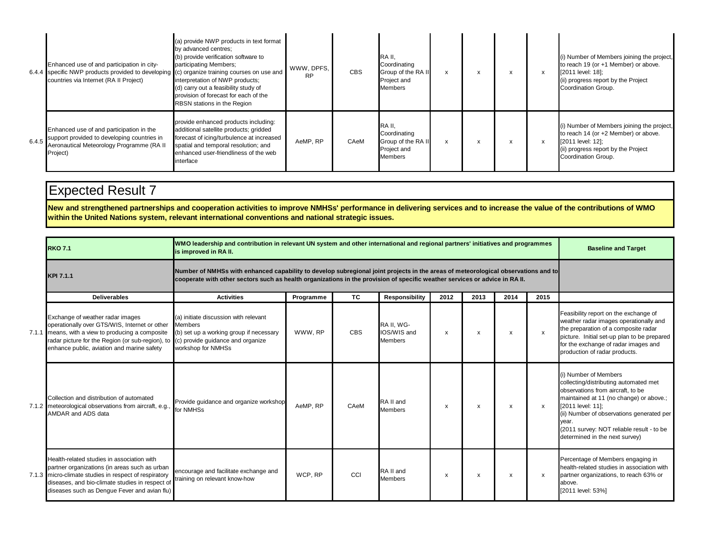|       | Enhanced use of and participation in city-<br>6.4.4 specific NWP products provided to developing (c) organize training courses on use and<br>countries via Internet (RA II Project) | (a) provide NWP products in text format<br>by advanced centres;<br>(b) provide verification software to<br>participating Members;<br>interpretation of NWP products;<br>(d) carry out a feasibility study of<br>provision of forecast for each of the<br><b>RBSN</b> stations in the Region | WWW. DPFS.<br><b>RP</b> | <b>CBS</b> | RA II,<br>Coordinating<br>Group of the RA II<br>Project and<br><b>Members</b> | x | $\boldsymbol{\mathsf{x}}$ |  | (i) Number of Members joining the project,<br>to reach 19 (or +1 Member) or above.<br>[2011 level: 18];<br>(ii) progress report by the Project<br>Coordination Group. |
|-------|-------------------------------------------------------------------------------------------------------------------------------------------------------------------------------------|---------------------------------------------------------------------------------------------------------------------------------------------------------------------------------------------------------------------------------------------------------------------------------------------|-------------------------|------------|-------------------------------------------------------------------------------|---|---------------------------|--|-----------------------------------------------------------------------------------------------------------------------------------------------------------------------|
| 6.4.5 | Enhanced use of and participation in the<br>support provided to developing countries in<br>Aeronautical Meteorology Programme (RA II<br>Project)                                    | provide enhanced products including:<br>additional satellite products; gridded<br>forecast of icing/turbulence at increased<br>spatial and temporal resolution; and<br>enhanced user-friendliness of the web<br>interface                                                                   | AeMP, RP                | CAeM       | RA II.<br>Coordinating<br>Group of the RA II<br>Project and<br>Members        | x |                           |  | (i) Number of Members joining the project,<br>to reach 14 (or +2 Member) or above.<br>[2011 level: 12];<br>(ii) progress report by the Project<br>Coordination Group. |

**New and strengthened partnerships and cooperation activities to improve NMHSs' performance in delivering services and to increase the value of the contributions of WMO within the United Nations system, relevant international conventions and national strategic issues.**

| <b>RKO 7.1</b>                                                                                                                                                                                                                                                             | WMO leadership and contribution in relevant UN system and other international and regional partners' initiatives and programmes<br>is improved in RA II.                                                                                                         |           |            |                                             |      |      |      | <b>Baseline and Target</b> |                                                                                                                                                                                                                                                                                                          |
|----------------------------------------------------------------------------------------------------------------------------------------------------------------------------------------------------------------------------------------------------------------------------|------------------------------------------------------------------------------------------------------------------------------------------------------------------------------------------------------------------------------------------------------------------|-----------|------------|---------------------------------------------|------|------|------|----------------------------|----------------------------------------------------------------------------------------------------------------------------------------------------------------------------------------------------------------------------------------------------------------------------------------------------------|
| KPI 7.1.1                                                                                                                                                                                                                                                                  | Number of NMHSs with enhanced capability to develop subregional joint projects in the areas of meteorological observations and to<br>cooperate with other sectors such as health organizations in the provision of specific weather services or advice in RA II. |           |            |                                             |      |      |      |                            |                                                                                                                                                                                                                                                                                                          |
| <b>Deliverables</b>                                                                                                                                                                                                                                                        | <b>Activities</b>                                                                                                                                                                                                                                                | Programme | <b>TC</b>  | Responsibility                              | 2012 | 2013 | 2014 | 2015                       |                                                                                                                                                                                                                                                                                                          |
| Exchange of weather radar images<br>operationally over GTS/WIS, Internet or other<br>7.1.1 means, with a view to producing a composite<br>radar picture for the Region (or sub-region), to (c) provide guidance and organize<br>enhance public, aviation and marine safety | (a) initiate discussion with relevant<br><b>Members</b><br>(b) set up a working group if necessary<br>workshop for NMHSs                                                                                                                                         | WWW.RP    | <b>CBS</b> | RA II. WG-<br>IOS/WIS and<br><b>Members</b> | X    | x    | X    | $\boldsymbol{\mathsf{x}}$  | Feasibility report on the exchange of<br>weather radar images operationally and<br>the preparation of a composite radar<br>picture. Initial set-up plan to be prepared<br>for the exchange of radar images and<br>production of radar products.                                                          |
| Collection and distribution of automated<br>7.1.2 meteorological observations from aircraft, e.g.,<br>AMDAR and ADS data                                                                                                                                                   | Provide quidance and organize workshop<br>for NMHSs                                                                                                                                                                                                              | AeMP. RP  | CAeM       | RA II and<br><b>Members</b>                 | X    | X    | X    | $\boldsymbol{\mathsf{x}}$  | (i) Number of Members<br>collecting/distributing automated met<br>observations from aircraft, to be<br>maintained at 11 (no change) or above.;<br>[2011 level: 11];<br>(ii) Number of observations generated per<br>vear.<br>(2011 survey: NOT reliable result - to be<br>determined in the next survey) |
| Health-related studies in association with<br>partner organizations (in areas such as urban<br>7.1.3 micro-climate studies in respect of respiratory<br>diseases, and bio-climate studies in respect of<br>diseases such as Dengue Fever and avian flu)                    | encourage and facilitate exchange and<br>training on relevant know-how                                                                                                                                                                                           | WCP, RP   | CCI        | RA II and<br><b>Members</b>                 | X    | х    | x    | $\boldsymbol{\mathsf{x}}$  | Percentage of Members engaging in<br>health-related studies in association with<br>partner organizations, to reach 63% or<br>above.<br>[2011 level: 53%]                                                                                                                                                 |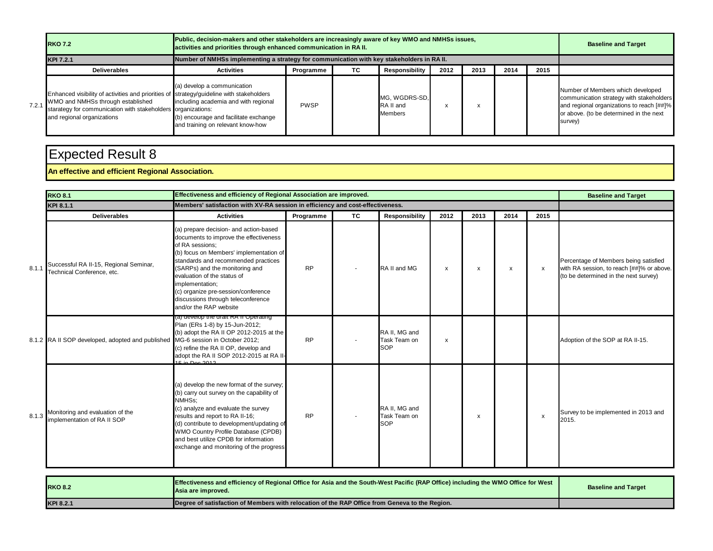|       | <b>RKO 7.2</b>                                                                                                                                                                                                              | Public, decision-makers and other stakeholders are increasingly aware of key WMO and NMHSs issues,<br>activities and priorities through enhanced communication in RA II. |             |    |                                       |      |      |      |      | <b>Baseline and Target</b>                                                                                                                                                       |
|-------|-----------------------------------------------------------------------------------------------------------------------------------------------------------------------------------------------------------------------------|--------------------------------------------------------------------------------------------------------------------------------------------------------------------------|-------------|----|---------------------------------------|------|------|------|------|----------------------------------------------------------------------------------------------------------------------------------------------------------------------------------|
|       | KPI 7.2.1                                                                                                                                                                                                                   | Number of NMHSs implementing a strategy for communication with key stakeholders in RA II.                                                                                |             |    |                                       |      |      |      |      |                                                                                                                                                                                  |
|       | <b>Deliverables</b>                                                                                                                                                                                                         | <b>Activities</b>                                                                                                                                                        | Programme   | TC | Responsibility                        | 2012 | 2013 | 2014 | 2015 |                                                                                                                                                                                  |
| 7.2.1 | Enhanced visibility of activities and priorities of strategy/guideline with stakeholders<br>WMO and NMHSs through established<br>starategy for communication with stakeholders organizations:<br>and regional organizations | (a) develop a communication<br>including academia and with regional<br>(b) encourage and facilitate exchange<br>and training on relevant know-how                        | <b>PWSP</b> |    | MG, WGDRS-SD,<br>RA II and<br>Members |      |      |      |      | Number of Members which developed<br>communication strategy with stakeholders<br>and regional organizations to reach [##]%<br>or above. (to be determined in the next<br>survey) |

#### **An effective and efficient Regional Association.**

|       | <b>RKO 8.1</b>                                                                 | Effectiveness and efficiency of Regional Association are improved.                                                                                                                                                                                                                                                                                                               |           |           |                                             |              |      |              |              | <b>Baseline and Target</b>                                                                                                  |
|-------|--------------------------------------------------------------------------------|----------------------------------------------------------------------------------------------------------------------------------------------------------------------------------------------------------------------------------------------------------------------------------------------------------------------------------------------------------------------------------|-----------|-----------|---------------------------------------------|--------------|------|--------------|--------------|-----------------------------------------------------------------------------------------------------------------------------|
|       | <b>KPI 8.1.1</b>                                                               | Members' satisfaction with XV-RA session in efficiency and cost-effectiveness.                                                                                                                                                                                                                                                                                                   |           |           |                                             |              |      |              |              |                                                                                                                             |
|       | <b>Deliverables</b>                                                            | <b>Activities</b>                                                                                                                                                                                                                                                                                                                                                                | Programme | <b>TC</b> | Responsibility                              | 2012         | 2013 | 2014         | 2015         |                                                                                                                             |
| 8.1.1 | Successful RA II-15, Regional Seminar,<br>Technical Conference, etc.           | (a) prepare decision- and action-based<br>documents to improve the effectiveness<br>of RA sessions:<br>(b) focus on Members' implementation of<br>standards and recommended practices<br>(SARPs) and the monitoring and<br>evaluation of the status of<br>implementation;<br>(c) organize pre-session/conference<br>discussions through teleconference<br>and/or the RAP website | <b>RP</b> |           | RA II and MG                                | $\mathsf{x}$ | X    | $\mathsf{x}$ | $\mathsf{x}$ | Percentage of Members being satisfied<br>with RA session, to reach [##]% or above.<br>(to be determined in the next survey) |
|       | 8.1.2 RA II SOP developed, adopted and published MG-6 session in October 2012; | (a) develop the drait RA if Operating<br>Plan (ERs 1-8) by 15-Jun-2012;<br>(b) adopt the RA II OP 2012-2015 at the<br>(c) refine the RA II OP, develop and<br>adopt the RA II SOP 2012-2015 at RA II-<br>$15$ in Dec 2012                                                                                                                                                        | <b>RP</b> |           | RA II. MG and<br>Task Team on<br><b>SOP</b> | x            |      |              |              | Adoption of the SOP at RA II-15.                                                                                            |
| 8.1.3 | Monitoring and evaluation of the<br>implementation of RA II SOP                | (a) develop the new format of the survey;<br>(b) carry out survey on the capability of<br>NMHSs:<br>(c) analyze and evaluate the survey<br>results and report to RA II-16;<br>(d) contribute to development/updating of<br>WMO Country Profile Database (CPDB)<br>and best utilize CPDB for information<br>exchange and monitoring of the progress                               | <b>RP</b> |           | RA II. MG and<br>Task Team on<br><b>SOP</b> |              | x    |              | $\mathsf{x}$ | Survey to be implemented in 2013 and<br>2015.                                                                               |

| <b>RKO 8.2</b> | <b>IEffectiveness and efficiency of Regional Office for Asia and the South-West Pacific (RAP Office) including the WMO Office for West</b><br><b>Asia are improved.</b> | <b>Baseline and Target</b> |
|----------------|-------------------------------------------------------------------------------------------------------------------------------------------------------------------------|----------------------------|
| KPI 8.2.1      | Degree of satisfaction of Members with relocation of the RAP Office from Geneva to the Region.                                                                          |                            |